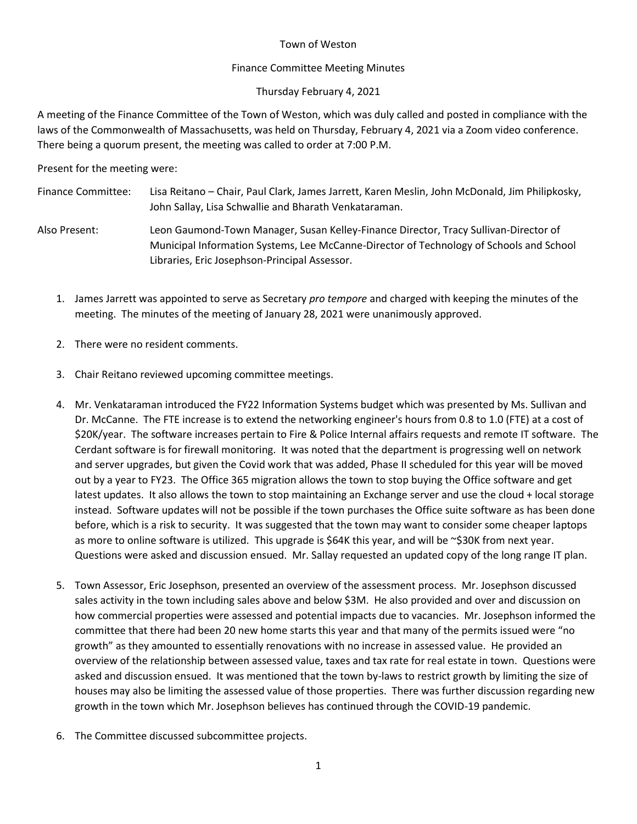# Town of Weston

# Finance Committee Meeting Minutes

# Thursday February 4, 2021

A meeting of the Finance Committee of the Town of Weston, which was duly called and posted in compliance with the laws of the Commonwealth of Massachusetts, was held on Thursday, February 4, 2021 via a Zoom video conference. There being a quorum present, the meeting was called to order at 7:00 P.M.

Present for the meeting were:

- Finance Committee: Lisa Reitano Chair, Paul Clark, James Jarrett, Karen Meslin, John McDonald, Jim Philipkosky, John Sallay, Lisa Schwallie and Bharath Venkataraman.
- Also Present: Leon Gaumond-Town Manager, Susan Kelley-Finance Director, Tracy Sullivan-Director of Municipal Information Systems, Lee McCanne-Director of Technology of Schools and School Libraries, Eric Josephson-Principal Assessor.
	- 1. James Jarrett was appointed to serve as Secretary *pro tempore* and charged with keeping the minutes of the meeting. The minutes of the meeting of January 28, 2021 were unanimously approved.
	- 2. There were no resident comments.
	- 3. Chair Reitano reviewed upcoming committee meetings.
	- 4. Mr. Venkataraman introduced the FY22 Information Systems budget which was presented by Ms. Sullivan and Dr. McCanne. The FTE increase is to extend the networking engineer's hours from 0.8 to 1.0 (FTE) at a cost of \$20K/year. The software increases pertain to Fire & Police Internal affairs requests and remote IT software. The Cerdant software is for firewall monitoring. It was noted that the department is progressing well on network and server upgrades, but given the Covid work that was added, Phase II scheduled for this year will be moved out by a year to FY23. The Office 365 migration allows the town to stop buying the Office software and get latest updates. It also allows the town to stop maintaining an Exchange server and use the cloud + local storage instead. Software updates will not be possible if the town purchases the Office suite software as has been done before, which is a risk to security. It was suggested that the town may want to consider some cheaper laptops as more to online software is utilized. This upgrade is \$64K this year, and will be ~\$30K from next year. Questions were asked and discussion ensued. Mr. Sallay requested an updated copy of the long range IT plan.
	- 5. Town Assessor, Eric Josephson, presented an overview of the assessment process. Mr. Josephson discussed sales activity in the town including sales above and below \$3M. He also provided and over and discussion on how commercial properties were assessed and potential impacts due to vacancies. Mr. Josephson informed the committee that there had been 20 new home starts this year and that many of the permits issued were "no growth" as they amounted to essentially renovations with no increase in assessed value. He provided an overview of the relationship between assessed value, taxes and tax rate for real estate in town. Questions were asked and discussion ensued. It was mentioned that the town by-laws to restrict growth by limiting the size of houses may also be limiting the assessed value of those properties. There was further discussion regarding new growth in the town which Mr. Josephson believes has continued through the COVID-19 pandemic.
	- 6. The Committee discussed subcommittee projects.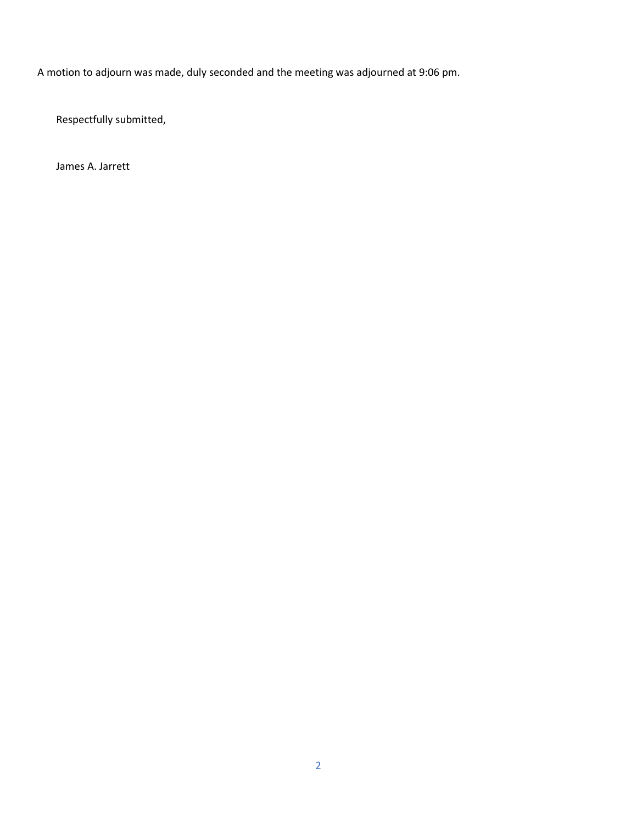A motion to adjourn was made, duly seconded and the meeting was adjourned at 9:06 pm.

Respectfully submitted,

James A. Jarrett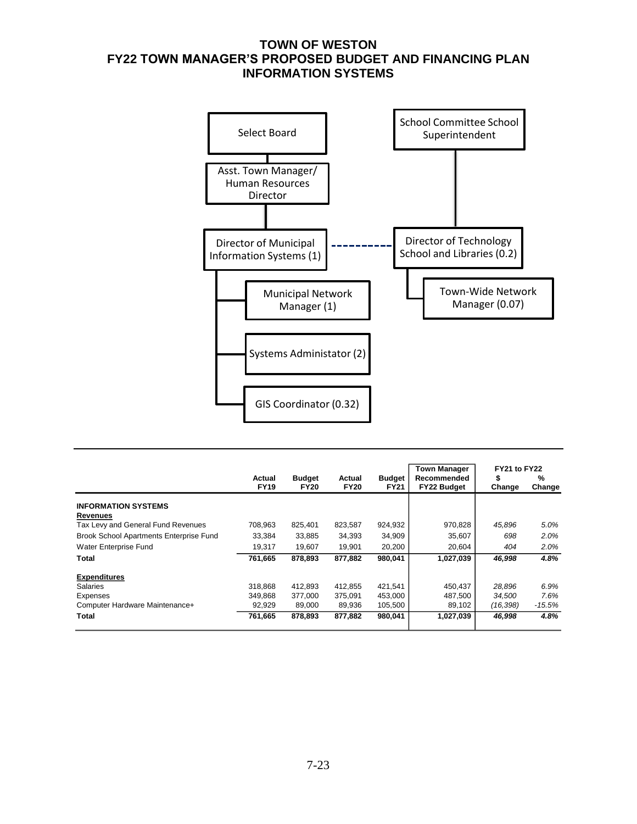# **TOWN OF WESTON FY22 TOWN MANAGER'S PROPOSED BUDGET AND FINANCING PLAN INFORMATION SYSTEMS**



|                                         |                       |                              |                       |                              | <b>Town Manager</b>               | FY21 to FY22 |             |
|-----------------------------------------|-----------------------|------------------------------|-----------------------|------------------------------|-----------------------------------|--------------|-------------|
|                                         | Actual<br><b>FY19</b> | <b>Budget</b><br><b>FY20</b> | Actual<br><b>FY20</b> | <b>Budget</b><br><b>FY21</b> | Recommended<br><b>FY22 Budget</b> | S<br>Change  | %<br>Change |
| <b>INFORMATION SYSTEMS</b>              |                       |                              |                       |                              |                                   |              |             |
| <b>Revenues</b>                         |                       |                              |                       |                              |                                   |              |             |
| Tax Levy and General Fund Revenues      | 708,963               | 825,401                      | 823,587               | 924,932                      | 970,828                           | 45,896       | 5.0%        |
| Brook School Apartments Enterprise Fund | 33,384                | 33,885                       | 34,393                | 34,909                       | 35,607                            | 698          | 2.0%        |
| Water Enterprise Fund                   | 19,317                | 19,607                       | 19,901                | 20,200                       | 20,604                            | 404          | 2.0%        |
| Total                                   | 761,665               | 878.893                      | 877,882               | 980,041                      | 1,027,039                         | 46,998       | 4.8%        |
| <b>Expenditures</b>                     |                       |                              |                       |                              |                                   |              |             |
| <b>Salaries</b>                         | 318.868               | 412.893                      | 412.855               | 421.541                      | 450,437                           | 28,896       | 6.9%        |
| Expenses                                | 349.868               | 377.000                      | 375.091               | 453.000                      | 487.500                           | 34.500       | 7.6%        |
| Computer Hardware Maintenance+          | 92,929                | 89,000                       | 89.936                | 105,500                      | 89,102                            | (16, 398)    | $-15.5%$    |
| Total                                   | 761,665               | 878,893                      | 877,882               | 980,041                      | 1,027,039                         | 46,998       | 4.8%        |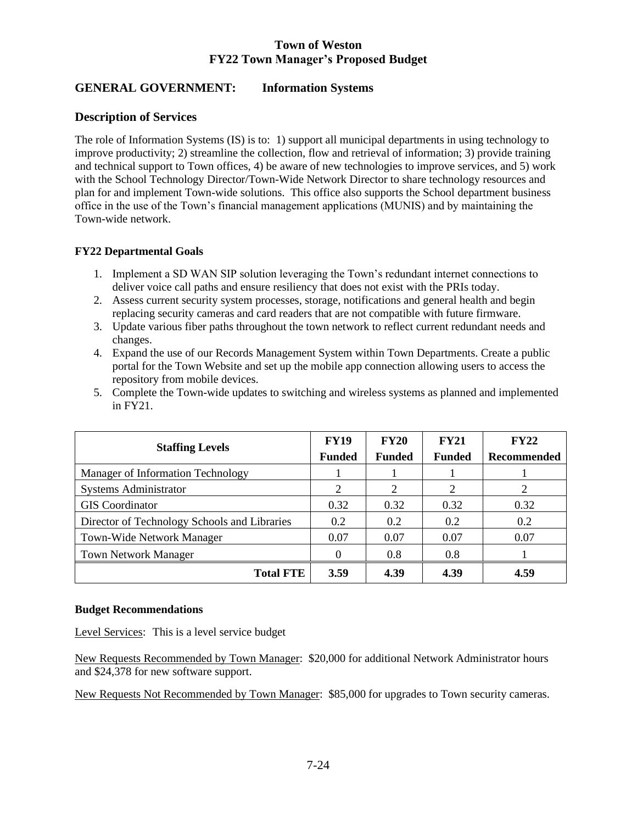# **Town of Weston FY22 Town Manager's Proposed Budget**

# **GENERAL GOVERNMENT: Information Systems**

# **Description of Services**

The role of Information Systems (IS) is to: 1) support all municipal departments in using technology to improve productivity; 2) streamline the collection, flow and retrieval of information; 3) provide training and technical support to Town offices, 4) be aware of new technologies to improve services, and 5) work with the School Technology Director/Town-Wide Network Director to share technology resources and plan for and implement Town-wide solutions. This office also supports the School department business office in the use of the Town's financial management applications (MUNIS) and by maintaining the Town-wide network.

# **FY22 Departmental Goals**

- 1. Implement a SD WAN SIP solution leveraging the Town's redundant internet connections to deliver voice call paths and ensure resiliency that does not exist with the PRIs today.
- 2. Assess current security system processes, storage, notifications and general health and begin replacing security cameras and card readers that are not compatible with future firmware.
- 3. Update various fiber paths throughout the town network to reflect current redundant needs and changes.
- 4. Expand the use of our Records Management System within Town Departments. Create a public portal for the Town Website and set up the mobile app connection allowing users to access the repository from mobile devices.
- 5. Complete the Town-wide updates to switching and wireless systems as planned and implemented in FY21.

| <b>Staffing Levels</b>                       | <b>FY19</b><br><b>Funded</b> | <b>FY20</b><br><b>Funded</b> | FY21<br><b>Funded</b> | <b>FY22</b><br>Recommended |
|----------------------------------------------|------------------------------|------------------------------|-----------------------|----------------------------|
| Manager of Information Technology            |                              |                              |                       |                            |
| <b>Systems Administrator</b>                 | 2                            | 2                            | 2                     | 2                          |
| <b>GIS</b> Coordinator                       | 0.32                         | 0.32                         | 0.32                  | 0.32                       |
| Director of Technology Schools and Libraries | 0.2                          | 0.2                          | 0.2                   | 0.2                        |
| <b>Town-Wide Network Manager</b>             | 0.07                         | 0.07                         | 0.07                  | 0.07                       |
| <b>Town Network Manager</b>                  | 0                            | 0.8                          | 0.8                   |                            |
| <b>Total FTE</b>                             | 3.59                         | 4.39                         | 4.39                  | 4.59                       |

# **Budget Recommendations**

Level Services: This is a level service budget

New Requests Recommended by Town Manager: \$20,000 for additional Network Administrator hours and \$24,378 for new software support.

New Requests Not Recommended by Town Manager: \$85,000 for upgrades to Town security cameras.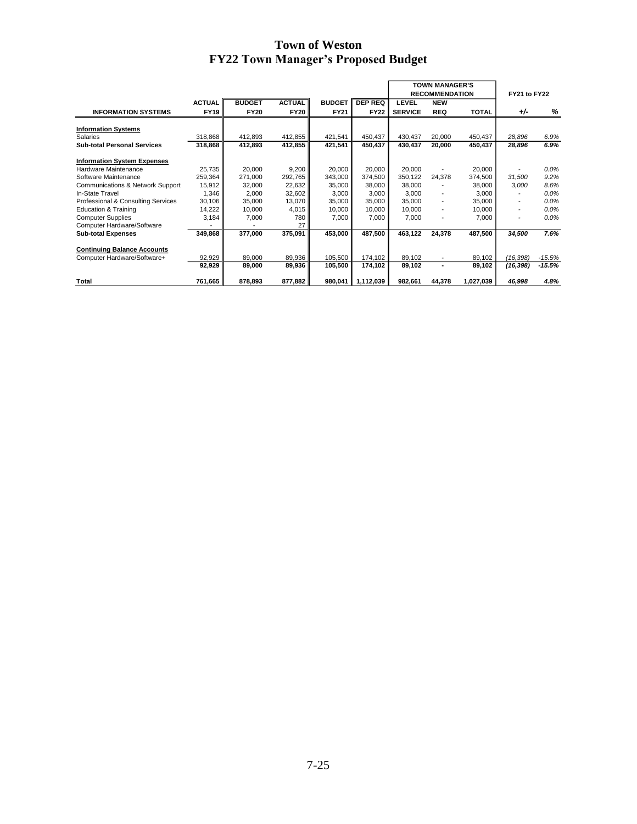# **Town of Weston FY22 Town Manager's Proposed Budget**

|                                    |               |               |               |               |                |                | <b>TOWN MANAGER'S</b><br><b>RECOMMENDATION</b> |              | FY21 to FY22             |          |
|------------------------------------|---------------|---------------|---------------|---------------|----------------|----------------|------------------------------------------------|--------------|--------------------------|----------|
|                                    | <b>ACTUAL</b> | <b>BUDGET</b> | <b>ACTUAL</b> | <b>BUDGET</b> | <b>DEP REQ</b> | LEVEL          | <b>NEW</b>                                     |              |                          |          |
| <b>INFORMATION SYSTEMS</b>         | <b>FY19</b>   | <b>FY20</b>   | <b>FY20</b>   | <b>FY21</b>   | <b>FY22</b>    | <b>SERVICE</b> | <b>REQ</b>                                     | <b>TOTAL</b> | $+/-$                    | %        |
|                                    |               |               |               |               |                |                |                                                |              |                          |          |
| <b>Information Systems</b>         |               |               |               |               |                |                |                                                |              |                          |          |
| Salaries                           | 318,868       | 412,893       | 412,855       | 421,541       | 450,437        | 430,437        | 20,000                                         | 450,437      | 28,896                   | 6.9%     |
| <b>Sub-total Personal Services</b> | 318,868       | 412,893       | 412,855       | 421,541       | 450,437        | 430,437        | 20,000                                         | 450,437      | 28,896                   | 6.9%     |
|                                    |               |               |               |               |                |                |                                                |              |                          |          |
| <b>Information System Expenses</b> |               |               |               |               |                |                |                                                |              |                          |          |
| Hardware Maintenance               | 25,735        | 20.000        | 9,200         | 20,000        | 20.000         | 20.000         |                                                | 20,000       |                          | $0.0\%$  |
| Software Maintenance               | 259,364       | 271,000       | 292,765       | 343,000       | 374,500        | 350,122        | 24,378                                         | 374,500      | 31,500                   | 9.2%     |
| Communications & Network Support   | 15,912        | 32,000        | 22,632        | 35,000        | 38,000         | 38,000         | $\overline{a}$                                 | 38,000       | 3,000                    | 8.6%     |
| In-State Travel                    | 1,346         | 2,000         | 32,602        | 3,000         | 3,000          | 3.000          | $\overline{\phantom{a}}$                       | 3,000        |                          | 0.0%     |
| Professional & Consulting Services | 30,106        | 35,000        | 13,070        | 35,000        | 35,000         | 35,000         | $\overline{\phantom{a}}$                       | 35,000       | $\overline{\phantom{a}}$ | 0.0%     |
| <b>Education &amp; Training</b>    | 14,222        | 10,000        | 4,015         | 10,000        | 10,000         | 10,000         | $\blacksquare$                                 | 10,000       | $\overline{\phantom{a}}$ | 0.0%     |
| <b>Computer Supplies</b>           | 3,184         | 7,000         | 780           | 7,000         | 7,000          | 7.000          | $\overline{\phantom{0}}$                       | 7,000        |                          | 0.0%     |
| Computer Hardware/Software         |               |               | 27            |               |                |                |                                                |              |                          |          |
| <b>Sub-total Expenses</b>          | 349,868       | 377,000       | 375,091       | 453.000       | 487,500        | 463.122        | 24,378                                         | 487,500      | 34,500                   | 7.6%     |
|                                    |               |               |               |               |                |                |                                                |              |                          |          |
| <b>Continuing Balance Accounts</b> |               |               |               |               |                |                |                                                |              |                          |          |
| Computer Hardware/Software+        | 92,929        | 89,000        | 89,936        | 105,500       | 174,102        | 89,102         | $\blacksquare$                                 | 89,102       | (16, 398)                | $-15.5%$ |
|                                    | 92,929        | 89,000        | 89,936        | 105,500       | 174,102        | 89,102         | ۰                                              | 89,102       | (16,398)                 | $-15.5%$ |
|                                    |               |               |               |               |                |                |                                                |              |                          |          |
| Total                              | 761,665       | 878,893       | 877,882       | 980,041       | 1,112,039      | 982,661        | 44,378                                         | 1,027,039    | 46,998                   | 4.8%     |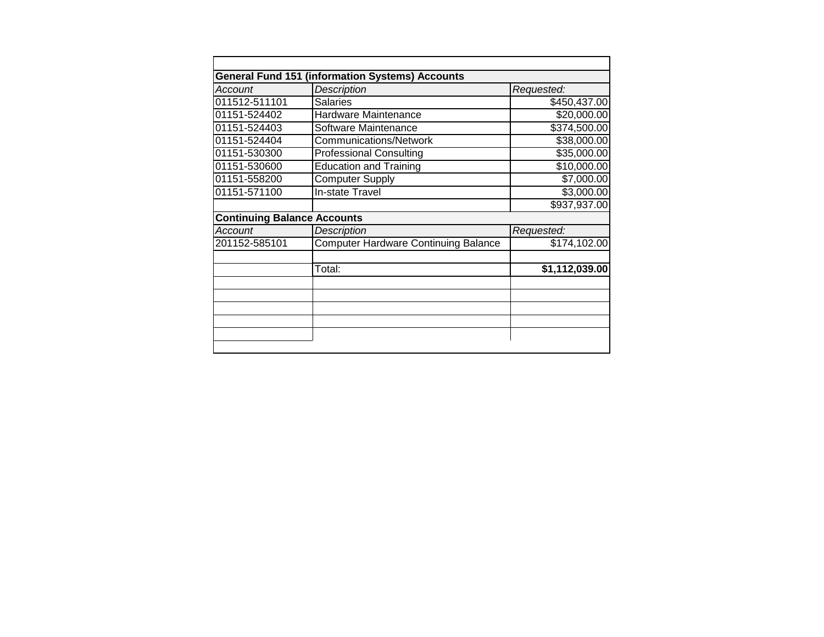|                                    | <b>General Fund 151 (information Systems) Accounts</b> |                |
|------------------------------------|--------------------------------------------------------|----------------|
| Account                            | <b>Description</b>                                     | Requested:     |
| 011512-511101                      | <b>Salaries</b>                                        | \$450,437.00   |
| 01151-524402                       | Hardware Maintenance                                   | \$20,000.00    |
| 01151-524403                       | Software Maintenance                                   | \$374,500.00   |
| 01151-524404                       | <b>Communications/Network</b>                          | \$38,000.00    |
| 01151-530300                       | <b>Professional Consulting</b>                         | \$35,000.00    |
| 01151-530600                       | <b>Education and Training</b>                          | \$10,000.00    |
| 01151-558200                       | <b>Computer Supply</b>                                 | \$7,000.00     |
| 01151-571100                       | In-state Travel                                        | \$3,000.00     |
|                                    |                                                        | \$937,937.00   |
| <b>Continuing Balance Accounts</b> |                                                        |                |
| <b>Account</b>                     | Description                                            | Requested:     |
| 201152-585101                      | Computer Hardware Continuing Balance                   | \$174,102.00   |
|                                    | Total:                                                 | \$1,112,039.00 |
|                                    |                                                        |                |
|                                    |                                                        |                |
|                                    |                                                        |                |
|                                    |                                                        |                |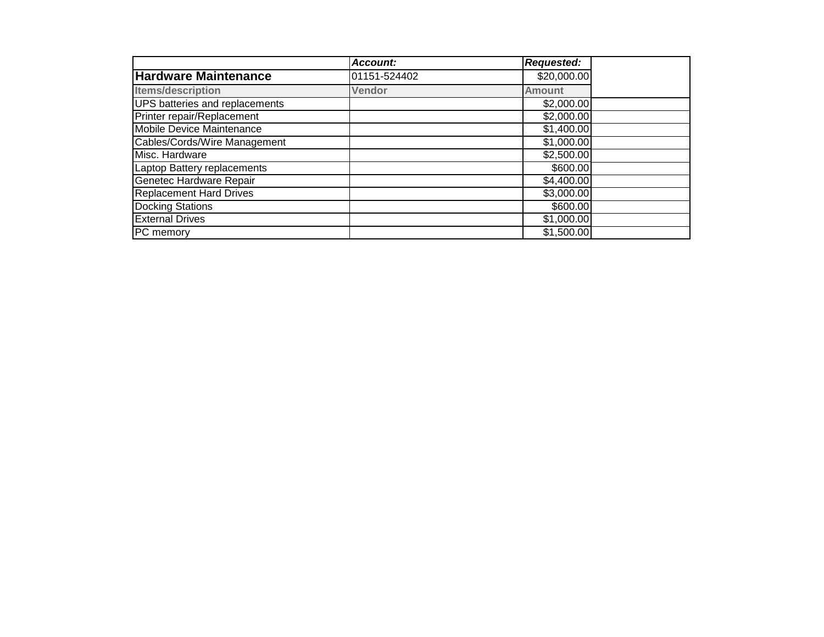|                                | Account:      | <b>Requested:</b> |  |
|--------------------------------|---------------|-------------------|--|
| <b>Hardware Maintenance</b>    | 01151-524402  | \$20,000.00       |  |
| <b>Items/description</b>       | <b>Vendor</b> | <b>Amount</b>     |  |
| UPS batteries and replacements |               | \$2,000.00        |  |
| Printer repair/Replacement     |               | \$2,000.00        |  |
| Mobile Device Maintenance      |               | \$1,400.00        |  |
| Cables/Cords/Wire Management   |               | \$1,000.00        |  |
| Misc. Hardware                 |               | \$2,500.00        |  |
| Laptop Battery replacements    |               | \$600.00          |  |
| Genetec Hardware Repair        |               | \$4,400.00        |  |
| <b>Replacement Hard Drives</b> |               | \$3,000.00        |  |
| <b>Docking Stations</b>        |               | \$600.00          |  |
| <b>External Drives</b>         |               | \$1,000.00        |  |
| PC memory                      |               | \$1,500.00        |  |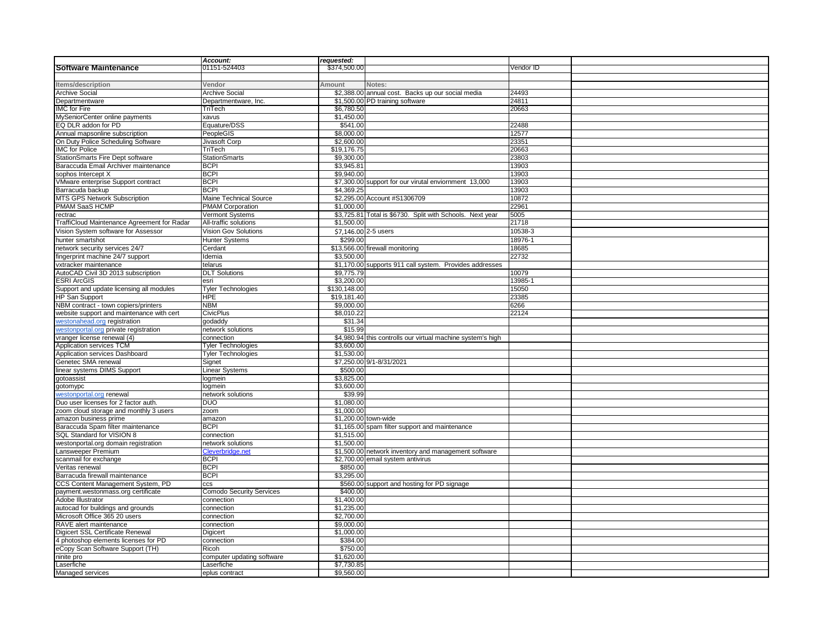|                                             | Account:                        | requested:   |                                                             |           |
|---------------------------------------------|---------------------------------|--------------|-------------------------------------------------------------|-----------|
| Software Maintenance                        | 01151-524403                    | \$374,500.00 |                                                             | Vendor ID |
|                                             |                                 |              |                                                             |           |
| Items/description                           | Vendor                          | Amount       | Notes:                                                      |           |
| Archive Social                              | Archive Social                  |              | \$2,388.00 annual cost. Backs up our social media           | 24493     |
| Departmentware                              | Departmentware, Inc.            |              | \$1,500.00 PD training software                             | 24811     |
| IMC for Fire                                | TriTech                         | \$6,780.50   |                                                             | 20663     |
| MySeniorCenter online payments              | xavus                           | \$1,450.00   |                                                             |           |
| EQ DLR addon for PD                         | Equature/DSS                    | \$541.00     |                                                             | 22488     |
|                                             |                                 |              |                                                             |           |
| Annual mapsonline subscription              | <b>PeopleGIS</b>                | \$8,000.00   |                                                             | 12577     |
| On Duty Police Scheduling Software          | Jivasoft Corp                   | \$2,600.00   |                                                             | 23351     |
| <b>IMC</b> for Police                       | TriTech                         | \$19,176.75  |                                                             | 20663     |
| StationSmarts Fire Dept software            | <b>StationSmarts</b>            | \$9,300.00   |                                                             | 23803     |
| Baraccuda Email Archiver maintenance        | <b>BCPI</b>                     | \$3,945.81   |                                                             | 13903     |
| sophos Intercept X                          | BCPI                            | \$9.940.00   |                                                             | 13903     |
| VMware enterprise Support contract          | <b>BCPI</b>                     |              | \$7,300.00 support for our virutal enviornment 13,000       | 13903     |
| Barracuda backup                            | <b>BCPI</b>                     | \$4.369.25   |                                                             | 13903     |
| MTS GPS Network Subscription                | <b>Maine Technical Source</b>   |              | \$2,295.00 Account #S1306709                                | 10872     |
| PMAM SaaS HCMP                              | <b>PMAM Corporation</b>         | \$1,000.00   |                                                             | 22961     |
| rectrac                                     | Vermont Systems                 |              | \$3,725.81 Total is \$6730. Split with Schools. Next year   | 5005      |
|                                             | All-traffic solutions           | \$1,500.00   |                                                             |           |
| TraffiCloud Maintenance Agreement for Radar |                                 |              |                                                             | 21718     |
| Vision System software for Assessor         | Vision Gov Solutions            |              | \$7,146.00 2-5 users                                        | 10538-3   |
| hunter smartshot                            | <b>Hunter Systems</b>           | \$299.00     |                                                             | 18976-1   |
| network security services 24/7              | Cerdant                         |              | \$13,566.00 firewall monitoring                             | 18685     |
| fingerprint machine 24/7 support            | Idemia                          | \$3,500.00   |                                                             | 22732     |
| vxtracker maintenance                       | telarus                         |              | \$1,170.00 supports 911 call system. Provides addresses     |           |
| AutoCAD Civil 3D 2013 subscription          | <b>DLT Solutions</b>            | \$9,775.79   |                                                             | 10079     |
| <b>ESRI ArcGIS</b>                          | esri                            | \$3,200.00   |                                                             | 13985-    |
| Support and update licensing all modules    | <b>Tyler Technologies</b>       | \$130,148.00 |                                                             | 15050     |
|                                             |                                 |              |                                                             |           |
| HP San Support                              | <b>HPE</b>                      | \$19,181.40  |                                                             | 23385     |
| NBM contract - town copiers/printers        | <b>NBM</b>                      | \$9,000.00   |                                                             | 6266      |
| website support and maintenance with cert   | CivicPlus                       | \$8,010.22   |                                                             | 22124     |
| westonahead.org registration                | qodaddy                         | \$31.34      |                                                             |           |
| westonportal.org private registration       | network solutions               | \$15.99      |                                                             |           |
| vranger license renewal (4)                 | connection                      |              | \$4,980.94 this controlls our virtual machine system's high |           |
| Application services TCM                    | <b>Tyler Technologies</b>       | \$3,600.00   |                                                             |           |
| Application services Dashboard              | <b>Tyler Technologies</b>       | \$1,530.00   |                                                             |           |
| Genetec SMA renewal                         | Signet                          |              | \$7,250.00 9/1-8/31/2021                                    |           |
| inear systems DIMS Support                  | inear Systems                   | \$500.00     |                                                             |           |
| gotoassist                                  | logmein                         | \$3,825.00   |                                                             |           |
|                                             | logmein                         | \$3,600.00   |                                                             |           |
| gotomypc                                    |                                 |              |                                                             |           |
| westonportal.org renewal                    | network solutions               | \$39.99      |                                                             |           |
| Duo user licenses for 2 factor auth.        | DUO                             | \$1,080.00   |                                                             |           |
| zoom cloud storage and monthly 3 users      | zoom                            | \$1,000.00   |                                                             |           |
| amazon business prime                       | amazon                          |              | \$1,200.00 town-wide                                        |           |
| Baraccuda Spam filter maintenance           | <b>BCPI</b>                     |              | \$1,165.00 spam filter support and maintenance              |           |
| SQL Standard for VISION 8                   | connection                      | \$1,515.00   |                                                             |           |
| westonportal.org domain registration        | network solutions               | \$1,500.00   |                                                             |           |
| Lansweeper Premium                          | Cleverbridge.net                |              | \$1,500.00 network inventory and management software        |           |
| scanmail for exchange                       | BCPI                            |              | \$2,700.00 email system antivirus                           |           |
| Veritas renewal                             | BCPI                            | \$850.00     |                                                             |           |
| Barracuda firewall maintenance              | <b>BCPI</b>                     | \$3,295.00   |                                                             |           |
|                                             |                                 |              |                                                             |           |
| CCS Content Management System, PD           | ccs                             |              | \$560.00 support and hosting for PD signage                 |           |
| payment.westonmass.org certificate          | <b>Comodo Security Services</b> | \$400.00     |                                                             |           |
| Adobe Illustrator                           | connection                      | \$1,400.00   |                                                             |           |
| autocad for buildings and grounds           | connection                      | \$1,235.00   |                                                             |           |
| Microsoft Office 365 20 users               | connection                      | \$2,700.00   |                                                             |           |
| RAVE alert maintenance                      | connection                      | \$9,000.00   |                                                             |           |
| Digicert SSL Certificate Renewal            | Digicert                        | \$1,000.00   |                                                             |           |
| 4 photoshop elements licenses for PD        | connection                      | \$384.00     |                                                             |           |
| eCopy Scan Software Support (TH)            | Ricoh                           | \$750.00     |                                                             |           |
|                                             |                                 |              |                                                             |           |
| ninite pro                                  | computer updating software      | \$1,620.00   |                                                             |           |
| Laserfiche                                  | _aserfiche                      | \$7,730.85   |                                                             |           |
| Managed services                            | eplus contract                  | \$9,560.00   |                                                             |           |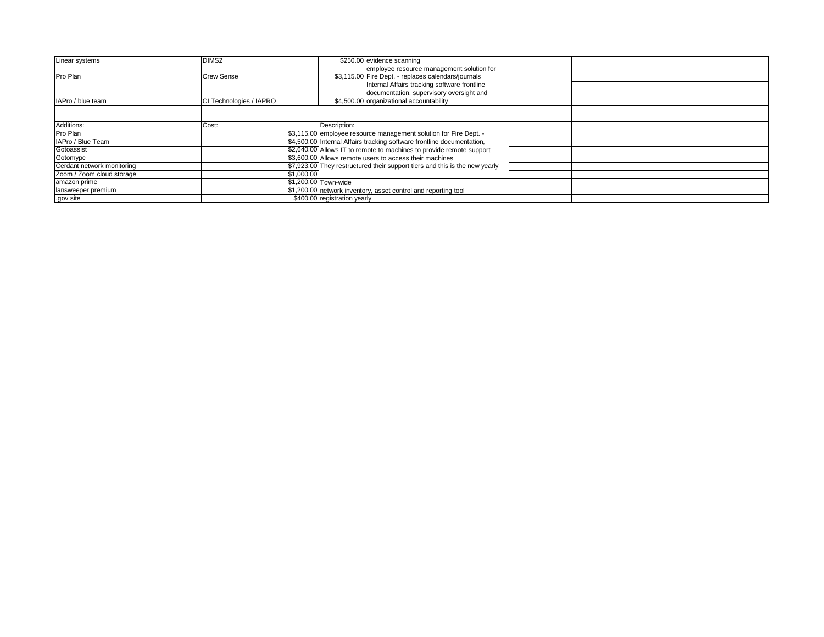| Linear systems             | DIMS <sub>2</sub>       | \$250.00 evidence scanning                                                  |
|----------------------------|-------------------------|-----------------------------------------------------------------------------|
|                            |                         | employee resource management solution for                                   |
| Pro Plan                   | <b>Crew Sense</b>       | \$3,115.00 Fire Dept. - replaces calendars/journals                         |
|                            |                         | Internal Affairs tracking software frontline                                |
|                            |                         | documentation, supervisory oversight and                                    |
| IAPro / blue team          | CI Technologies / IAPRO | \$4,500.00 organizational accountability                                    |
|                            |                         |                                                                             |
| Additions:                 | Cost:                   | Description:                                                                |
|                            |                         |                                                                             |
| Pro Plan                   |                         | \$3,115.00 employee resource management solution for Fire Dept. -           |
| IAPro / Blue Team          |                         | \$4,500.00 Internal Affairs tracking software frontline documentation,      |
| Gotoassist                 |                         | \$2,640.00 Allows IT to remote to machines to provide remote support        |
| Gotomypc                   |                         | \$3,600.00 Allows remote users to access their machines                     |
| Cerdant network monitoring |                         | \$7,923.00 They restructured their support tiers and this is the new yearly |
| Zoom / Zoom cloud storage  |                         | \$1,000.00                                                                  |
| amazon prime               |                         | \$1,200.00 Town-wide                                                        |
| lansweeper premium         |                         | \$1,200.00 network inventory, asset control and reporting tool              |
| .gov site                  |                         | \$400.00 registration yearly                                                |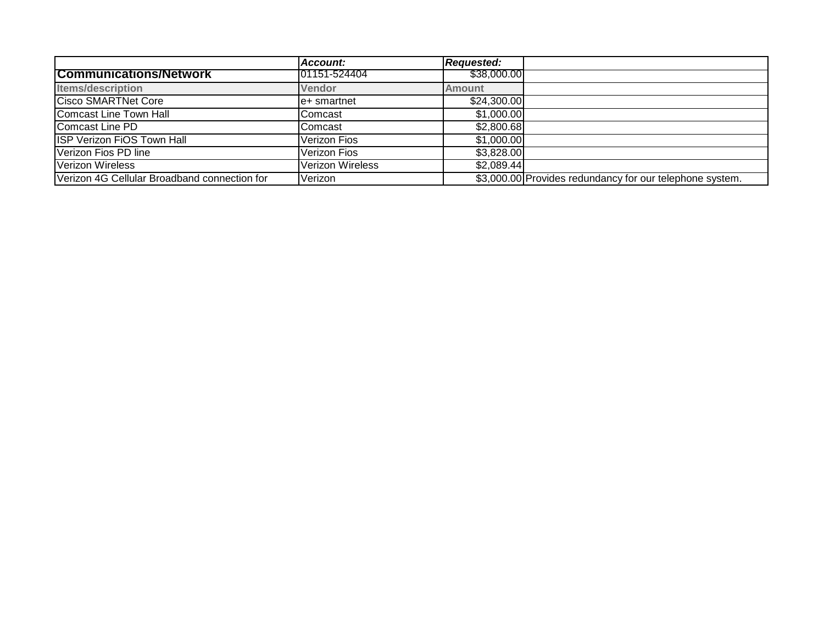|                                              | Account:                | <b>Requested:</b> |                                                          |
|----------------------------------------------|-------------------------|-------------------|----------------------------------------------------------|
| <b>Communications/Network</b>                | 01151-524404            | \$38,000.00       |                                                          |
| <b>Items/description</b>                     | Vendor                  | <b>Amount</b>     |                                                          |
| <b>Cisco SMARTNet Core</b>                   | le+ smartnet            | \$24,300.00       |                                                          |
| Comcast Line Town Hall                       | Comcast                 | \$1,000.00        |                                                          |
| Comcast Line PD                              | Comcast                 | \$2,800.68        |                                                          |
| <b>ISP Verizon FIOS Town Hall</b>            | <b>Verizon Fios</b>     | \$1,000.00        |                                                          |
| Verizon Fios PD line                         | Verizon Fios            | \$3,828.00        |                                                          |
| Verizon Wireless                             | <b>Verizon Wireless</b> | \$2,089.44        |                                                          |
| Verizon 4G Cellular Broadband connection for | Verizon                 |                   | \$3,000.00 Provides redundancy for our telephone system. |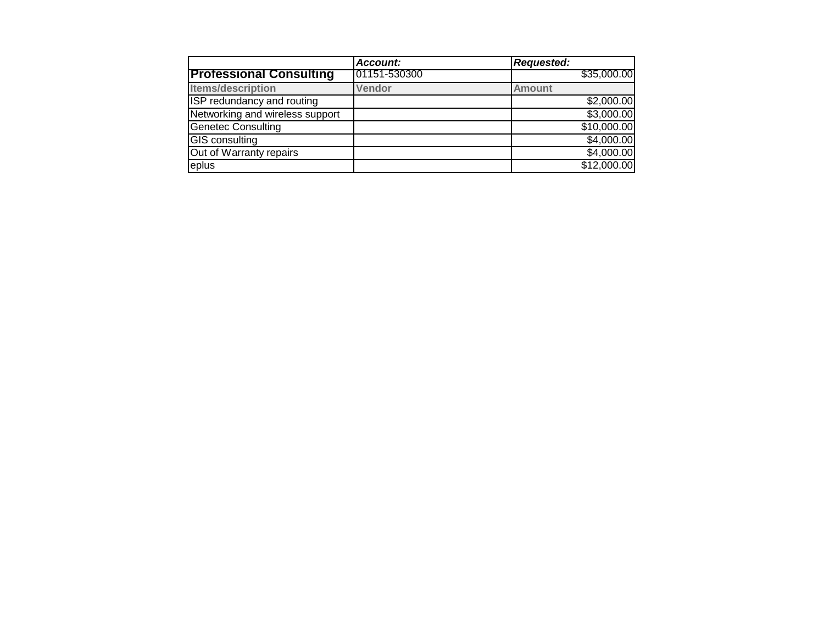|                                   | Account:     | <b>Requested:</b> |
|-----------------------------------|--------------|-------------------|
| <b>Professional Consulting</b>    | 01151-530300 | \$35,000.00       |
| <b>Items/description</b>          | Vendor       | <b>Amount</b>     |
| <b>ISP redundancy and routing</b> |              | \$2,000.00        |
| Networking and wireless support   |              | \$3,000.00        |
| <b>Genetec Consulting</b>         |              | \$10,000.00       |
| <b>GIS</b> consulting             |              | \$4,000.00        |
| Out of Warranty repairs           |              | \$4,000.00        |
| eplus                             |              | \$12,000.00       |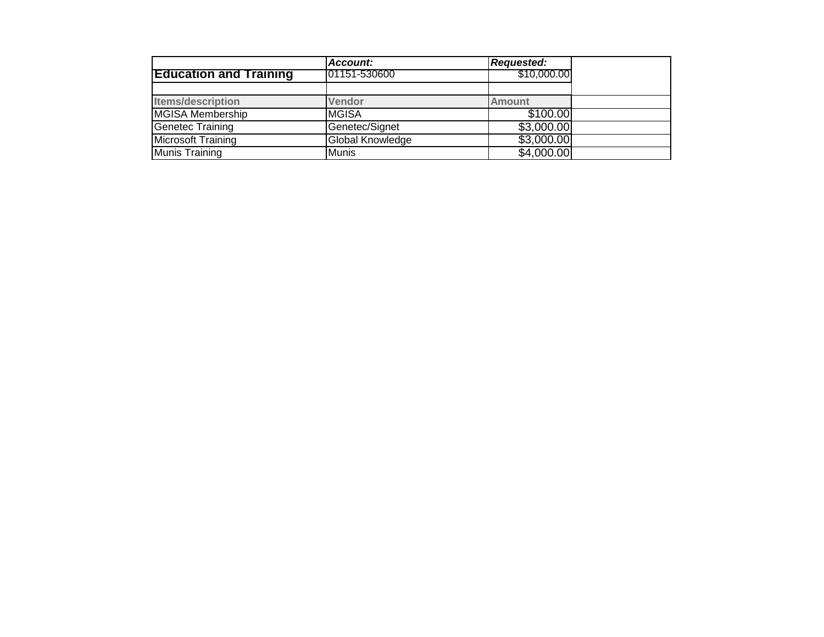|                               | Account:                | <b>Requested:</b> |  |
|-------------------------------|-------------------------|-------------------|--|
| <b>Education and Training</b> | 101151-530600           | \$10,000.00       |  |
|                               |                         |                   |  |
| <b>Items/description</b>      | <b>Vendor</b>           | <b>Amount</b>     |  |
| MGISA Membership              | <b>MGISA</b>            | \$100.00          |  |
| <b>Genetec Training</b>       | Genetec/Signet          | \$3,000.00        |  |
| Microsoft Training            | <b>Global Knowledge</b> | \$3,000.00        |  |
| Munis Training                | <b>Munis</b>            | \$4,000.00        |  |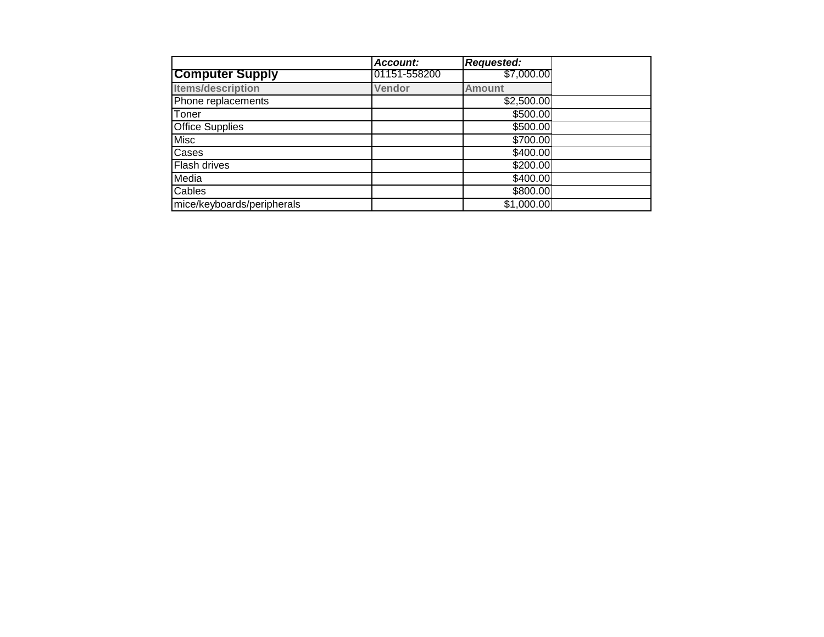|                            | <b>Account:</b> | <b>Requested:</b> |  |
|----------------------------|-----------------|-------------------|--|
| <b>Computer Supply</b>     | 01151-558200    | \$7,000.00        |  |
| <b>Items/description</b>   | Vendor          | <b>Amount</b>     |  |
| Phone replacements         |                 | \$2,500.00        |  |
| Toner                      |                 | \$500.00          |  |
| <b>Office Supplies</b>     |                 | \$500.00          |  |
| <b>Misc</b>                |                 | \$700.00          |  |
| Cases                      |                 | \$400.00          |  |
| Flash drives               |                 | \$200.00          |  |
| Media                      |                 | \$400.00          |  |
| Cables                     |                 | \$800.00          |  |
| mice/keyboards/peripherals |                 | \$1,000.00        |  |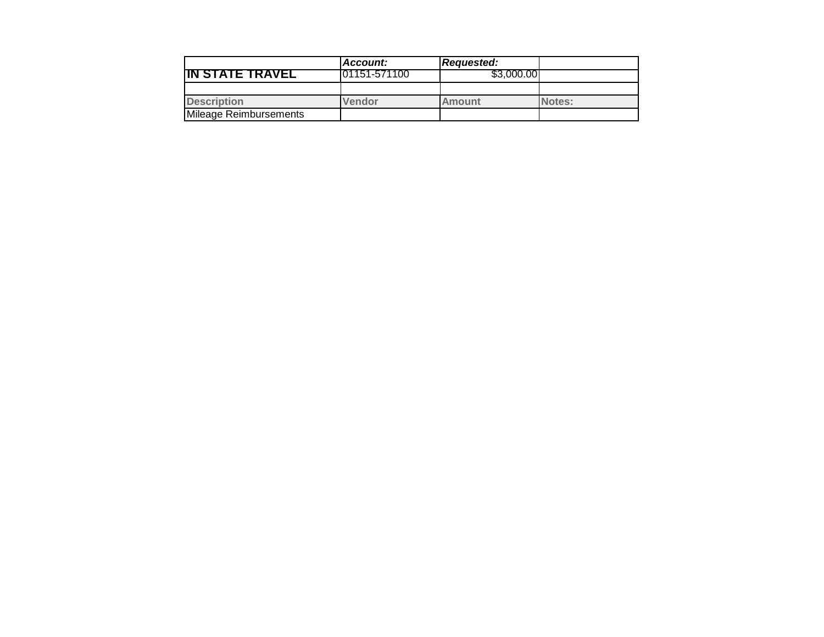|                        | Account:      | <b>Requested:</b> |        |
|------------------------|---------------|-------------------|--------|
| <b>IN STATE TRAVEL</b> | 101151-571100 | \$3,000,00        |        |
|                        |               |                   |        |
| <b>Description</b>     | Vendor        | <b>Amount</b>     | Notes: |
| Mileage Reimbursements |               |                   |        |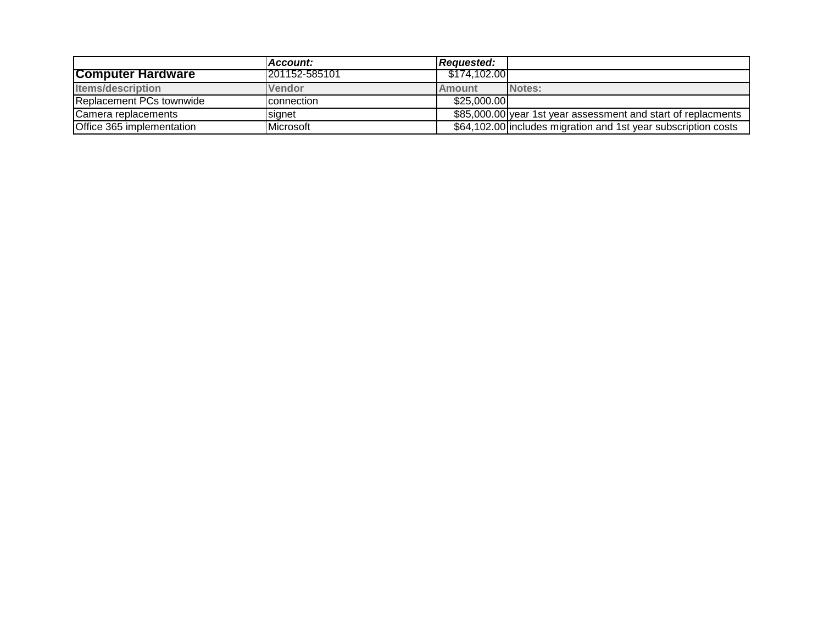|                           | l Account:          | Reauested:   |                                                                |
|---------------------------|---------------------|--------------|----------------------------------------------------------------|
| <b>Computer Hardware</b>  | 1201152-585101      | \$174.102.00 |                                                                |
| <b>Items/description</b>  | <b>IVendor</b>      | Amount       | Notes:                                                         |
| Replacement PCs townwide  | <b>I</b> connection | \$25,000,00  |                                                                |
| Camera replacements       | signet              |              | \$85,000.00 year 1st year assessment and start of replacments  |
| Office 365 implementation | <b>I</b> Microsoft  |              | \$64,102.00 includes migration and 1st year subscription costs |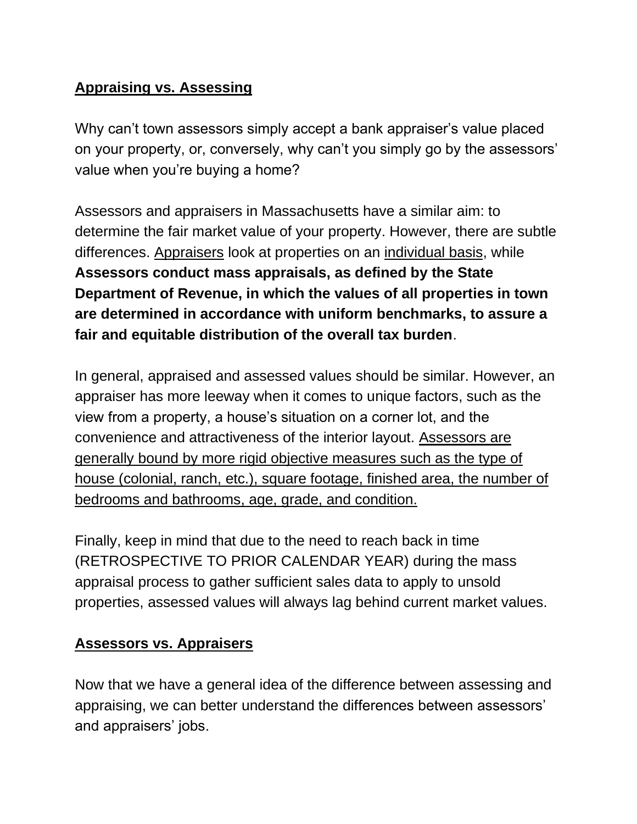# **Appraising vs. Assessing**

Why can't town assessors simply accept a bank appraiser's value placed on your property, or, conversely, why can't you simply go by the assessors' value when you're buying a home?

Assessors and appraisers in Massachusetts have a similar aim: to determine the fair market value of your property. However, there are subtle differences. Appraisers look at properties on an individual basis, while **Assessors conduct mass appraisals, as defined by the State Department of Revenue, in which the values of all properties in town are determined in accordance with uniform benchmarks, to assure a fair and equitable distribution of the overall tax burden**.

In general, appraised and assessed values should be similar. However, an appraiser has more leeway when it comes to unique factors, such as the view from a property, a house's situation on a corner lot, and the convenience and attractiveness of the interior layout. Assessors are generally bound by more rigid objective measures such as the type of house (colonial, ranch, etc.), square footage, finished area, the number of bedrooms and bathrooms, age, grade, and condition.

Finally, keep in mind that due to the need to reach back in time (RETROSPECTIVE TO PRIOR CALENDAR YEAR) during the mass appraisal process to gather sufficient sales data to apply to unsold properties, assessed values will always lag behind current market values.

# **Assessors vs. Appraisers**

Now that we have a general idea of the difference between assessing and appraising, we can better understand the differences between assessors' and appraisers' jobs.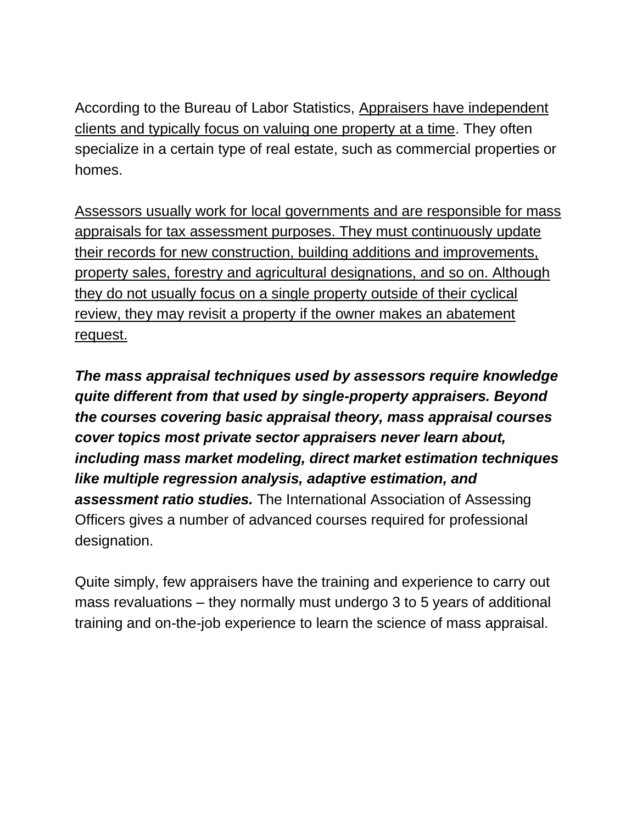According to the Bureau of Labor Statistics, Appraisers have independent clients and typically focus on valuing one property at a time. They often specialize in a certain type of real estate, such as commercial properties or homes.

Assessors usually work for local governments and are responsible for mass appraisals for tax assessment purposes. They must continuously update their records for new construction, building additions and improvements, property sales, forestry and agricultural designations, and so on. Although they do not usually focus on a single property outside of their cyclical review, they may revisit a property if the owner makes an abatement request.

*The mass appraisal techniques used by assessors require knowledge quite different from that used by single-property appraisers. Beyond the courses covering basic appraisal theory, mass appraisal courses cover topics most private sector appraisers never learn about, including mass market modeling, direct market estimation techniques like multiple regression analysis, adaptive estimation, and assessment ratio studies.* The International Association of Assessing Officers gives a number of advanced courses required for professional designation.

Quite simply, few appraisers have the training and experience to carry out mass revaluations – they normally must undergo 3 to 5 years of additional training and on-the-job experience to learn the science of mass appraisal.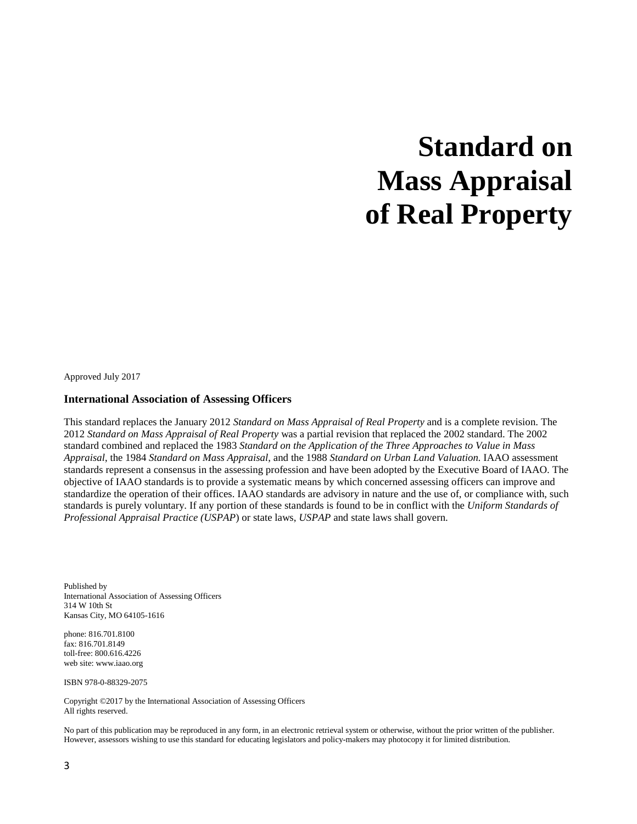# **Standard on Mass Appraisal of Real Property**

Approved July 2017

#### **International Association of Assessing Officers**

This standard replaces the January 2012 *Standard on Mass Appraisal of Real Property* and is a complete revision. The 2012 *Standard on Mass Appraisal of Real Property* was a partial revision that replaced the 2002 standard. The 2002 standard combined and replaced the 1983 *Standard on the Application of the Three Approaches to Value in Mass Appraisal*, the 1984 *Standard on Mass Appraisal*, and the 1988 *Standard on Urban Land Valuation.* IAAO assessment standards represent a consensus in the assessing profession and have been adopted by the Executive Board of IAAO. The objective of IAAO standards is to provide a systematic means by which concerned assessing officers can improve and standardize the operation of their offices. IAAO standards are advisory in nature and the use of, or compliance with, such standards is purely voluntary. If any portion of these standards is found to be in conflict with the *Uniform Standards of Professional Appraisal Practice (USPAP*) or state laws, *USPAP* and state laws shall govern.

Published by International Association of Assessing Officers 314 W 10th St Kansas City, MO 64105-1616

phone: 816.701.8100 fax: 816.701.8149 toll-free: 800.616.4226 web site: www.iaao.org

ISBN 978-0-88329-2075

Copyright ©2017 by the International Association of Assessing Officers All rights reserved.

No part of this publication may be reproduced in any form, in an electronic retrieval system or otherwise, without the prior written of the publisher. However, assessors wishing to use this standard for educating legislators and policy-makers may photocopy it for limited distribution.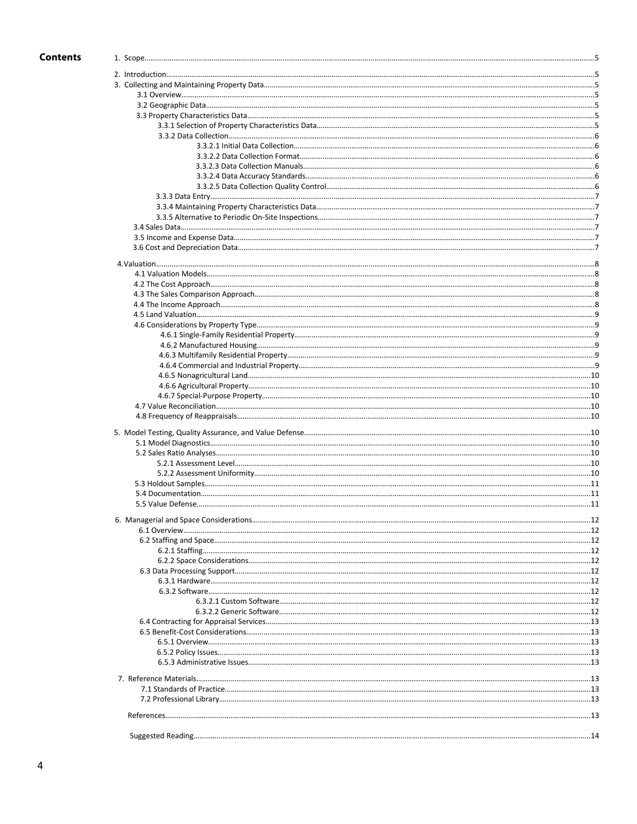# **Contents**

 $\overline{5}$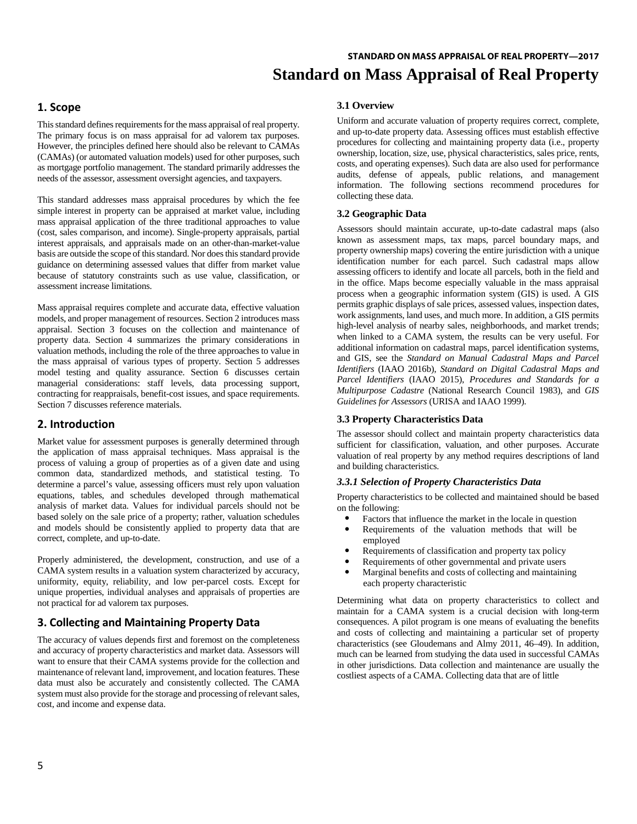# **1. Scope**

This standard defines requirements for the mass appraisal of real property. The primary focus is on mass appraisal for ad valorem tax purposes. However, the principles defined here should also be relevant to CAMAs (CAMAs) (or automated valuation models) used for other purposes, such as mortgage portfolio management. The standard primarily addresses the needs of the assessor, assessment oversight agencies, and taxpayers.

This standard addresses mass appraisal procedures by which the fee simple interest in property can be appraised at market value, including mass appraisal application of the three traditional approaches to value (cost, sales comparison, and income). Single-property appraisals, partial interest appraisals, and appraisals made on an other-than-market-value basis are outside the scope of this standard. Nor does this standard provide guidance on determining assessed values that differ from market value because of statutory constraints such as use value, classification, or assessment increase limitations.

Mass appraisal requires complete and accurate data, effective valuation models, and proper management of resources. Section 2 introduces mass appraisal. Section 3 focuses on the collection and maintenance of property data. Section 4 summarizes the primary considerations in valuation methods, including the role of the three approaches to value in the mass appraisal of various types of property. Section 5 addresses model testing and quality assurance. Section 6 discusses certain managerial considerations: staff levels, data processing support, contracting for reappraisals, benefit-cost issues, and space requirements. Section 7 discusses reference materials.

# **2. Introduction**

Market value for assessment purposes is generally determined through the application of mass appraisal techniques. Mass appraisal is the process of valuing a group of properties as of a given date and using common data, standardized methods, and statistical testing. To determine a parcel's value, assessing officers must rely upon valuation equations, tables, and schedules developed through mathematical analysis of market data. Values for individual parcels should not be based solely on the sale price of a property; rather, valuation schedules and models should be consistently applied to property data that are correct, complete, and up-to-date.

Properly administered, the development, construction, and use of a CAMA system results in a valuation system characterized by accuracy, uniformity, equity, reliability, and low per-parcel costs. Except for unique properties, individual analyses and appraisals of properties are not practical for ad valorem tax purposes.

# **3. Collecting and Maintaining Property Data**

The accuracy of values depends first and foremost on the completeness and accuracy of property characteristics and market data. Assessors will want to ensure that their CAMA systems provide for the collection and maintenance of relevant land, improvement, and location features. These data must also be accurately and consistently collected. The CAMA system must also provide for the storage and processing of relevant sales, cost, and income and expense data.

# **3.1 Overview**

Uniform and accurate valuation of property requires correct, complete, and up-to-date property data. Assessing offices must establish effective procedures for collecting and maintaining property data (i.e., property ownership, location, size, use, physical characteristics, sales price, rents, costs, and operating expenses). Such data are also used for performance audits, defense of appeals, public relations, and management information. The following sections recommend procedures for collecting these data.

# **3.2 Geographic Data**

Assessors should maintain accurate, up-to-date cadastral maps (also known as assessment maps, tax maps, parcel boundary maps, and property ownership maps) covering the entire jurisdiction with a unique identification number for each parcel. Such cadastral maps allow assessing officers to identify and locate all parcels, both in the field and in the office. Maps become especially valuable in the mass appraisal process when a geographic information system (GIS) is used. A GIS permits graphic displays of sale prices, assessed values, inspection dates, work assignments, land uses, and much more. In addition, a GIS permits high-level analysis of nearby sales, neighborhoods, and market trends; when linked to a CAMA system, the results can be very useful. For additional information on cadastral maps, parcel identification systems, and GIS, see the *Standard on Manual Cadastral Maps and Parcel Identifiers* (IAAO 2016b), *Standard on Digital Cadastral Maps and Parcel Identifiers* (IAAO 2015), *Procedures and Standards for a Multipurpose Cadastre* (National Research Council 1983), and *GIS Guidelines for Assessors* (URISA and IAAO 1999).

# **3.3 Property Characteristics Data**

The assessor should collect and maintain property characteristics data sufficient for classification, valuation, and other purposes. Accurate valuation of real property by any method requires descriptions of land and building characteristics.

# *3.3.1 Selection of Property Characteristics Data*

Property characteristics to be collected and maintained should be based on the following:

- Factors that influence the market in the locale in question<br>• Requirements of the valuation methods that will be
- Requirements of the valuation methods that will be employed
- Requirements of classification and property tax policy
- Requirements of other governmental and private users
- Marginal benefits and costs of collecting and maintaining each property characteristic

Determining what data on property characteristics to collect and maintain for a CAMA system is a crucial decision with long-term consequences. A pilot program is one means of evaluating the benefits and costs of collecting and maintaining a particular set of property characteristics (see Gloudemans and Almy 2011, 46–49). In addition, much can be learned from studying the data used in successful CAMAs in other jurisdictions. Data collection and maintenance are usually the costliest aspects of a CAMA. Collecting data that are of little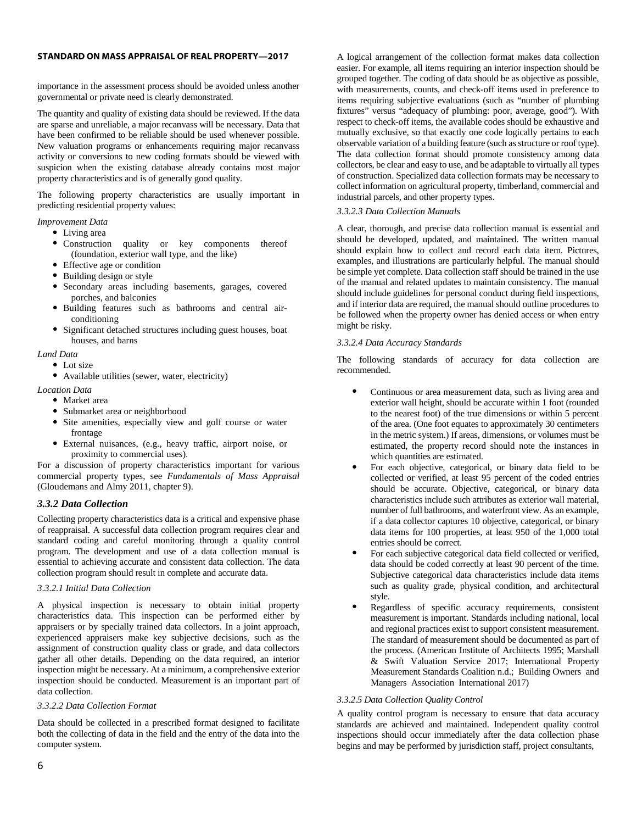importance in the assessment process should be avoided unless another governmental or private need is clearly demonstrated.

The quantity and quality of existing data should be reviewed. If the data are sparse and unreliable, a major recanvass will be necessary. Data that have been confirmed to be reliable should be used whenever possible. New valuation programs or enhancements requiring major recanvass activity or conversions to new coding formats should be viewed with suspicion when the existing database already contains most major property characteristics and is of generally good quality.

The following property characteristics are usually important in predicting residential property values:

*Improvement Data*

Living area

- Construction quality or key components thereof (foundation, exterior wall type, and the like)
- Effective age or condition
- Building design or style
- Secondary areas including basements, garages, covered porches, and balconies
- Building features such as bathrooms and central airconditioning
- Significant detached structures including guest houses, boat houses, and barns

#### *Land Data*

- Lot size
- Available utilities (sewer, water, electricity)

*Location Data*

- Market area
- Submarket area or neighborhood
- Site amenities, especially view and golf course or water frontage
- External nuisances, (e.g., heavy traffic, airport noise, or proximity to commercial uses).

For a discussion of property characteristics important for various commercial property types, see *Fundamentals of Mass Appraisal* (Gloudemans and Almy 2011, chapter 9).

# *3.3.2 Data Collection*

Collecting property characteristics data is a critical and expensive phase of reappraisal. A successful data collection program requires clear and standard coding and careful monitoring through a quality control program. The development and use of a data collection manual is essential to achieving accurate and consistent data collection. The data collection program should result in complete and accurate data.

#### *3.3.2.1 Initial Data Collection*

A physical inspection is necessary to obtain initial property characteristics data. This inspection can be performed either by appraisers or by specially trained data collectors. In a joint approach, experienced appraisers make key subjective decisions, such as the assignment of construction quality class or grade, and data collectors gather all other details. Depending on the data required, an interior inspection might be necessary. At a minimum, a comprehensive exterior inspection should be conducted. Measurement is an important part of data collection.

#### *3.3.2.2 Data Collection Format*

Data should be collected in a prescribed format designed to facilitate both the collecting of data in the field and the entry of the data into the computer system.

A logical arrangement of the collection format makes data collection easier. For example, all items requiring an interior inspection should be grouped together. The coding of data should be as objective as possible, with measurements, counts, and check-off items used in preference to items requiring subjective evaluations (such as "number of plumbing fixtures" versus "adequacy of plumbing: poor, average, good"). With respect to check-off items, the available codes should be exhaustive and mutually exclusive, so that exactly one code logically pertains to each observable variation of a building feature (such as structure or roof type). The data collection format should promote consistency among data collectors, be clear and easy to use, and be adaptable to virtually all types of construction. Specialized data collection formats may be necessary to collect information on agricultural property, timberland, commercial and industrial parcels, and other property types.

#### *3.3.2.3 Data Collection Manuals*

A clear, thorough, and precise data collection manual is essential and should be developed, updated, and maintained. The written manual should explain how to collect and record each data item. Pictures, examples, and illustrations are particularly helpful. The manual should be simple yet complete. Data collection staff should be trained in the use of the manual and related updates to maintain consistency. The manual should include guidelines for personal conduct during field inspections, and if interior data are required, the manual should outline procedures to be followed when the property owner has denied access or when entry might be risky.

#### *3.3.2.4 Data Accuracy Standards*

The following standards of accuracy for data collection are recommended.

- Continuous or area measurement data, such as living area and exterior wall height, should be accurate within 1 foot (rounded to the nearest foot) of the true dimensions or within 5 percent of the area. (One foot equates to approximately 30 centimeters in the metric system.) If areas, dimensions, or volumes must be estimated, the property record should note the instances in which quantities are estimated.
- For each objective, categorical, or binary data field to be collected or verified, at least 95 percent of the coded entries should be accurate. Objective, categorical, or binary data characteristics include such attributes as exterior wall material, number of full bathrooms, and waterfront view. As an example, if a data collector captures 10 objective, categorical, or binary data items for 100 properties, at least 950 of the 1,000 total entries should be correct.
- For each subjective categorical data field collected or verified, data should be coded correctly at least 90 percent of the time. Subjective categorical data characteristics include data items such as quality grade, physical condition, and architectural style.
- Regardless of specific accuracy requirements, consistent measurement is important. Standards including national, local and regional practices exist to support consistent measurement. The standard of measurement should be documented as part of the process. (American Institute of Architects 1995; Marshall & Swift Valuation Service 2017; International Property Measurement Standards Coalition n.d.; Building Owners and Managers Association International 2017)

# *3.3.2.5 Data Collection Quality Control*

A quality control program is necessary to ensure that data accuracy standards are achieved and maintained. Independent quality control inspections should occur immediately after the data collection phase begins and may be performed by jurisdiction staff, project consultants,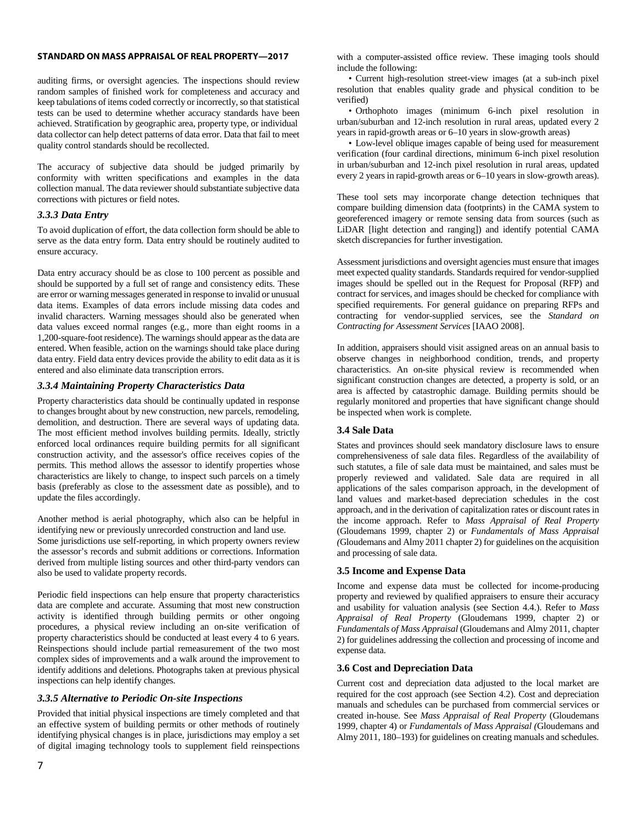auditing firms, or oversight agencies. The inspections should review random samples of finished work for completeness and accuracy and keep tabulations of items coded correctly or incorrectly, so that statistical tests can be used to determine whether accuracy standards have been achieved. Stratification by geographic area, property type, or individual data collector can help detect patterns of data error. Data that fail to meet quality control standards should be recollected.

The accuracy of subjective data should be judged primarily by conformity with written specifications and examples in the data collection manual. The data reviewer should substantiate subjective data corrections with pictures or field notes.

# *3.3.3 Data Entry*

To avoid duplication of effort, the data collection form should be able to serve as the data entry form. Data entry should be routinely audited to ensure accuracy.

Data entry accuracy should be as close to 100 percent as possible and should be supported by a full set of range and consistency edits. These are error or warning messages generated in response to invalid or unusual data items. Examples of data errors include missing data codes and invalid characters. Warning messages should also be generated when data values exceed normal ranges (e.g., more than eight rooms in a 1,200-square-foot residence). The warnings should appear as the data are entered. When feasible, action on the warnings should take place during data entry. Field data entry devices provide the ability to edit data as it is entered and also eliminate data transcription errors.

# *3.3.4 Maintaining Property Characteristics Data*

Property characteristics data should be continually updated in response to changes brought about by new construction, new parcels, remodeling, demolition, and destruction. There are several ways of updating data. The most efficient method involves building permits. Ideally, strictly enforced local ordinances require building permits for all significant construction activity, and the assessor's office receives copies of the permits. This method allows the assessor to identify properties whose characteristics are likely to change, to inspect such parcels on a timely basis (preferably as close to the assessment date as possible), and to update the files accordingly.

Another method is aerial photography, which also can be helpful in identifying new or previously unrecorded construction and land use. Some jurisdictions use self-reporting, in which property owners review the assessor's records and submit additions or corrections. Information derived from multiple listing sources and other third-party vendors can also be used to validate property records.

Periodic field inspections can help ensure that property characteristics data are complete and accurate. Assuming that most new construction activity is identified through building permits or other ongoing procedures, a physical review including an on-site verification of property characteristics should be conducted at least every 4 to 6 years. Reinspections should include partial remeasurement of the two most complex sides of improvements and a walk around the improvement to identify additions and deletions. Photographs taken at previous physical inspections can help identify changes.

# *3.3.5 Alternative to Periodic On-site Inspections*

Provided that initial physical inspections are timely completed and that an effective system of building permits or other methods of routinely identifying physical changes is in place, jurisdictions may employ a set of digital imaging technology tools to supplement field reinspections

with a computer-assisted office review. These imaging tools should include the following:

• Current high-resolution street-view images (at a sub-inch pixel resolution that enables quality grade and physical condition to be verified)

• Orthophoto images (minimum 6-inch pixel resolution in urban/suburban and 12-inch resolution in rural areas, updated every 2 years in rapid-growth areas or 6–10 years in slow-growth areas)

• Low-level oblique images capable of being used for measurement verification (four cardinal directions, minimum 6-inch pixel resolution in urban/suburban and 12-inch pixel resolution in rural areas, updated every 2 years in rapid-growth areas or 6–10 years in slow-growth areas).

These tool sets may incorporate change detection techniques that compare building dimension data (footprints) in the CAMA system to georeferenced imagery or remote sensing data from sources (such as LiDAR [light detection and ranging]) and identify potential CAMA sketch discrepancies for further investigation.

Assessment jurisdictions and oversight agencies must ensure that images meet expected quality standards. Standards required for vendor-supplied images should be spelled out in the Request for Proposal (RFP) and contract for services, and images should be checked for compliance with specified requirements. For general guidance on preparing RFPs and contracting for vendor-supplied services, see the *Standard on Contracting for Assessment Services* [IAAO 2008].

In addition, appraisers should visit assigned areas on an annual basis to observe changes in neighborhood condition, trends, and property characteristics. An on-site physical review is recommended when significant construction changes are detected, a property is sold, or an area is affected by catastrophic damage. Building permits should be regularly monitored and properties that have significant change should be inspected when work is complete.

# **3.4 Sale Data**

States and provinces should seek mandatory disclosure laws to ensure comprehensiveness of sale data files. Regardless of the availability of such statutes, a file of sale data must be maintained, and sales must be properly reviewed and validated. Sale data are required in all applications of the sales comparison approach, in the development of land values and market-based depreciation schedules in the cost approach, and in the derivation of capitalization rates or discount rates in the income approach. Refer to *Mass Appraisal of Real Property* (Gloudemans 1999, chapter 2) or *Fundamentals of Mass Appraisal (*Gloudemans and Almy 2011 chapter 2) for guidelines on the acquisition and processing of sale data.

# **3.5 Income and Expense Data**

Income and expense data must be collected for income-producing property and reviewed by qualified appraisers to ensure their accuracy and usability for valuation analysis (see Section 4.4.). Refer to *Mass Appraisal of Real Property* (Gloudemans 1999, chapter 2) or *Fundamentals of Mass Appraisal* (Gloudemans and Almy 2011, chapter 2) for guidelines addressing the collection and processing of income and expense data.

# **3.6 Cost and Depreciation Data**

Current cost and depreciation data adjusted to the local market are required for the cost approach (see Section 4.2). Cost and depreciation manuals and schedules can be purchased from commercial services or created in-house. See *Mass Appraisal of Real Property* (Gloudemans 1999, chapter 4) or *Fundamentals of Mass Appraisal (*Gloudemans and Almy 2011, 180–193) for guidelines on creating manuals and schedules.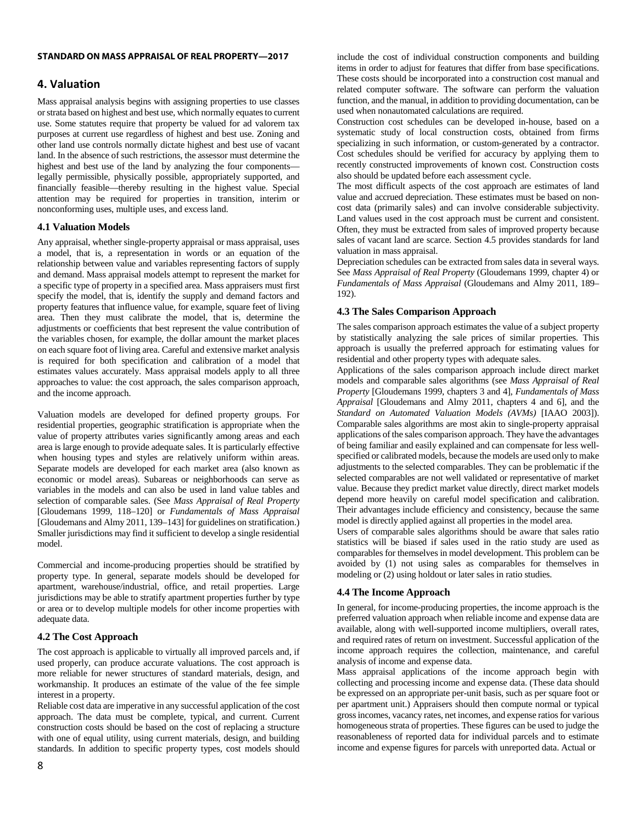# **4. Valuation**

Mass appraisal analysis begins with assigning properties to use classes or strata based on highest and best use, which normally equates to current use. Some statutes require that property be valued for ad valorem tax purposes at current use regardless of highest and best use. Zoning and other land use controls normally dictate highest and best use of vacant land. In the absence of such restrictions, the assessor must determine the highest and best use of the land by analyzing the four components legally permissible, physically possible, appropriately supported, and financially feasible—thereby resulting in the highest value. Special attention may be required for properties in transition, interim or nonconforming uses, multiple uses, and excess land.

# **4.1 Valuation Models**

Any appraisal, whether single-property appraisal or mass appraisal, uses a model, that is, a representation in words or an equation of the relationship between value and variables representing factors of supply and demand. Mass appraisal models attempt to represent the market for a specific type of property in a specified area. Mass appraisers must first specify the model, that is, identify the supply and demand factors and property features that influence value, for example, square feet of living area. Then they must calibrate the model, that is, determine the adjustments or coefficients that best represent the value contribution of the variables chosen, for example, the dollar amount the market places on each square foot of living area. Careful and extensive market analysis is required for both specification and calibration of a model that estimates values accurately. Mass appraisal models apply to all three approaches to value: the cost approach, the sales comparison approach, and the income approach.

Valuation models are developed for defined property groups. For residential properties, geographic stratification is appropriate when the value of property attributes varies significantly among areas and each area is large enough to provide adequate sales. It is particularly effective when housing types and styles are relatively uniform within areas. Separate models are developed for each market area (also known as economic or model areas). Subareas or neighborhoods can serve as variables in the models and can also be used in land value tables and selection of comparable sales. (See *Mass Appraisal of Real Property* [Gloudemans 1999, 118–120] or *Fundamentals of Mass Appraisal* [Gloudemans and Almy 2011, 139–143] for guidelines on stratification.) Smaller jurisdictions may find it sufficient to develop a single residential model.

Commercial and income-producing properties should be stratified by property type. In general, separate models should be developed for apartment, warehouse/industrial, office, and retail properties. Large jurisdictions may be able to stratify apartment properties further by type or area or to develop multiple models for other income properties with adequate data.

# **4.2 The Cost Approach**

The cost approach is applicable to virtually all improved parcels and, if used properly, can produce accurate valuations. The cost approach is more reliable for newer structures of standard materials, design, and workmanship. It produces an estimate of the value of the fee simple interest in a property.

Reliable cost data are imperative in any successful application of the cost approach. The data must be complete, typical, and current. Current construction costs should be based on the cost of replacing a structure with one of equal utility, using current materials, design, and building standards. In addition to specific property types, cost models should include the cost of individual construction components and building items in order to adjust for features that differ from base specifications. These costs should be incorporated into a construction cost manual and related computer software. The software can perform the valuation function, and the manual, in addition to providing documentation, can be used when nonautomated calculations are required.

Construction cost schedules can be developed in-house, based on a systematic study of local construction costs, obtained from firms specializing in such information, or custom-generated by a contractor. Cost schedules should be verified for accuracy by applying them to recently constructed improvements of known cost. Construction costs also should be updated before each assessment cycle.

The most difficult aspects of the cost approach are estimates of land value and accrued depreciation. These estimates must be based on noncost data (primarily sales) and can involve considerable subjectivity. Land values used in the cost approach must be current and consistent. Often, they must be extracted from sales of improved property because sales of vacant land are scarce. Section 4.5 provides standards for land valuation in mass appraisal.

Depreciation schedules can be extracted from sales data in several ways. See *Mass Appraisal of Real Property* (Gloudemans 1999, chapter 4) or *Fundamentals of Mass Appraisal* (Gloudemans and Almy 2011, 189– 192).

# **4.3 The Sales Comparison Approach**

The sales comparison approach estimates the value of a subject property by statistically analyzing the sale prices of similar properties. This approach is usually the preferred approach for estimating values for residential and other property types with adequate sales.

Applications of the sales comparison approach include direct market models and comparable sales algorithms (see *Mass Appraisal of Real Property* [Gloudemans 1999, chapters 3 and 4], *Fundamentals of Mass Appraisal* [Gloudemans and Almy 2011, chapters 4 and 6], and the *Standard on Automated Valuation Models (AVMs)* [IAAO 2003]). Comparable sales algorithms are most akin to single-property appraisal applications of the sales comparison approach. They have the advantages of being familiar and easily explained and can compensate for less wellspecified or calibrated models, because the models are used only to make adjustments to the selected comparables. They can be problematic if the selected comparables are not well validated or representative of market value. Because they predict market value directly, direct market models depend more heavily on careful model specification and calibration. Their advantages include efficiency and consistency, because the same model is directly applied against all properties in the model area.

Users of comparable sales algorithms should be aware that sales ratio statistics will be biased if sales used in the ratio study are used as comparables for themselves in model development. This problem can be avoided by (1) not using sales as comparables for themselves in modeling or (2) using holdout or later sales in ratio studies.

# **4.4 The Income Approach**

In general, for income-producing properties, the income approach is the preferred valuation approach when reliable income and expense data are available, along with well-supported income multipliers, overall rates, and required rates of return on investment. Successful application of the income approach requires the collection, maintenance, and careful analysis of income and expense data.

Mass appraisal applications of the income approach begin with collecting and processing income and expense data. (These data should be expressed on an appropriate per-unit basis, such as per square foot or per apartment unit.) Appraisers should then compute normal or typical gross incomes, vacancy rates, net incomes, and expense ratios for various homogeneous strata of properties. These figures can be used to judge the reasonableness of reported data for individual parcels and to estimate income and expense figures for parcels with unreported data. Actual or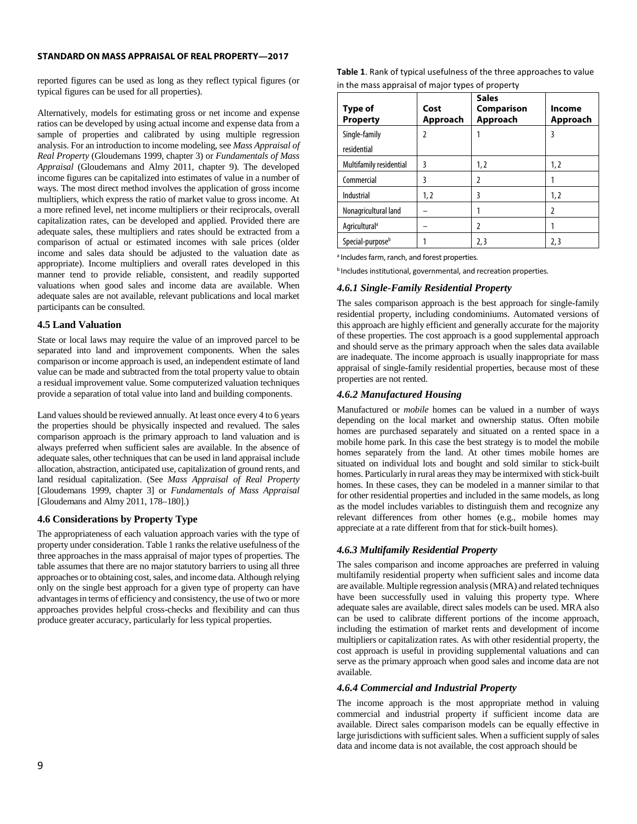reported figures can be used as long as they reflect typical figures (or typical figures can be used for all properties).

Alternatively, models for estimating gross or net income and expense ratios can be developed by using actual income and expense data from a sample of properties and calibrated by using multiple regression analysis. For an introduction to income modeling, see *Mass Appraisal of Real Property* (Gloudemans 1999, chapter 3) or *Fundamentals of Mass Appraisal* (Gloudemans and Almy 2011, chapter 9). The developed income figures can be capitalized into estimates of value in a number of ways. The most direct method involves the application of gross income multipliers, which express the ratio of market value to gross income. At a more refined level, net income multipliers or their reciprocals, overall capitalization rates, can be developed and applied. Provided there are adequate sales, these multipliers and rates should be extracted from a comparison of actual or estimated incomes with sale prices (older income and sales data should be adjusted to the valuation date as appropriate). Income multipliers and overall rates developed in this manner tend to provide reliable, consistent, and readily supported valuations when good sales and income data are available. When adequate sales are not available, relevant publications and local market participants can be consulted.

# **4.5 Land Valuation**

State or local laws may require the value of an improved parcel to be separated into land and improvement components. When the sales comparison or income approach is used, an independent estimate of land value can be made and subtracted from the total property value to obtain a residual improvement value. Some computerized valuation techniques provide a separation of total value into land and building components.

Land values should be reviewed annually. At least once every 4 to 6 years the properties should be physically inspected and revalued. The sales comparison approach is the primary approach to land valuation and is always preferred when sufficient sales are available. In the absence of adequate sales, other techniques that can be used in land appraisal include allocation, abstraction, anticipated use, capitalization of ground rents, and land residual capitalization. (See *Mass Appraisal of Real Property*  [Gloudemans 1999, chapter 3] or *Fundamentals of Mass Appraisal*  [Gloudemans and Almy 2011, 178–180].)

# **4.6 Considerations by Property Type**

The appropriateness of each valuation approach varies with the type of property under consideration. Table 1 ranks the relative usefulness of the three approaches in the mass appraisal of major types of properties. The table assumes that there are no major statutory barriers to using all three approaches or to obtaining cost, sales, and income data. Although relying only on the single best approach for a given type of property can have advantages in terms of efficiency and consistency, the use of two or more approaches provides helpful cross-checks and flexibility and can thus produce greater accuracy, particularly for less typical properties.

**Table 1**. Rank of typical usefulness of the three approaches to value in the mass appraisal of major types of property

| Type of<br><b>Property</b>   | Cost<br>Approach | <b>Sales</b><br>Comparison<br>Approach | Income<br>Approach |
|------------------------------|------------------|----------------------------------------|--------------------|
| Single-family                | 2                |                                        | 3                  |
| residential                  |                  |                                        |                    |
| Multifamily residential      | 3                | 1, 2                                   | 1,2                |
| Commercial                   | ξ                | 2                                      |                    |
| Industrial                   | 1,2              | 3                                      | 1,2                |
| Nonagricultural land         |                  |                                        | 2                  |
| Agricultural <sup>a</sup>    |                  | 2                                      |                    |
| Special-purpose <sup>b</sup> |                  | 2,3                                    | 2,3                |

a Includes farm, ranch, and forest properties*.*

**b** Includes institutional, governmental, and recreation properties.

# *4.6.1 Single-Family Residential Property*

The sales comparison approach is the best approach for single-family residential property, including condominiums. Automated versions of this approach are highly efficient and generally accurate for the majority of these properties. The cost approach is a good supplemental approach and should serve as the primary approach when the sales data available are inadequate. The income approach is usually inappropriate for mass appraisal of single-family residential properties, because most of these properties are not rented.

# *4.6.2 Manufactured Housing*

Manufactured or *mobile* homes can be valued in a number of ways depending on the local market and ownership status. Often mobile homes are purchased separately and situated on a rented space in a mobile home park. In this case the best strategy is to model the mobile homes separately from the land. At other times mobile homes are situated on individual lots and bought and sold similar to stick-built homes. Particularly in rural areas they may be intermixed with stick-built homes. In these cases, they can be modeled in a manner similar to that for other residential properties and included in the same models, as long as the model includes variables to distinguish them and recognize any relevant differences from other homes (e.g., mobile homes may appreciate at a rate different from that for stick-built homes).

# *4.6.3 Multifamily Residential Property*

The sales comparison and income approaches are preferred in valuing multifamily residential property when sufficient sales and income data are available. Multiple regression analysis (MRA) and related techniques have been successfully used in valuing this property type. Where adequate sales are available, direct sales models can be used. MRA also can be used to calibrate different portions of the income approach, including the estimation of market rents and development of income multipliers or capitalization rates. As with other residential property, the cost approach is useful in providing supplemental valuations and can serve as the primary approach when good sales and income data are not available.

# *4.6.4 Commercial and Industrial Property*

The income approach is the most appropriate method in valuing commercial and industrial property if sufficient income data are available. Direct sales comparison models can be equally effective in large jurisdictions with sufficient sales. When a sufficient supply of sales data and income data is not available, the cost approach should be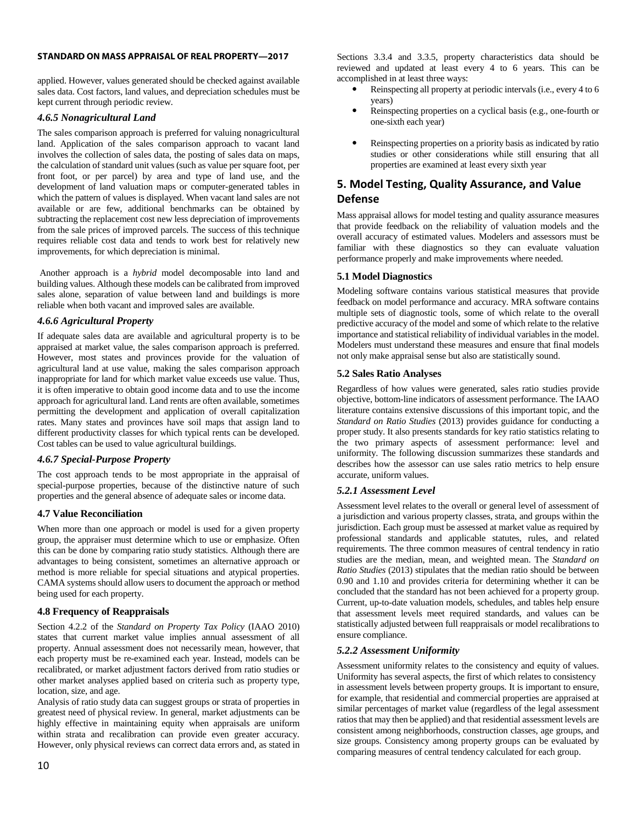applied. However, values generated should be checked against available sales data. Cost factors, land values, and depreciation schedules must be kept current through periodic review.

# *4.6.5 Nonagricultural Land*

The sales comparison approach is preferred for valuing nonagricultural land. Application of the sales comparison approach to vacant land involves the collection of sales data, the posting of sales data on maps, the calculation of standard unit values (such as value per square foot, per front foot, or per parcel) by area and type of land use, and the development of land valuation maps or computer-generated tables in which the pattern of values is displayed. When vacant land sales are not available or are few, additional benchmarks can be obtained by subtracting the replacement cost new less depreciation of improvements from the sale prices of improved parcels. The success of this technique requires reliable cost data and tends to work best for relatively new improvements, for which depreciation is minimal.

Another approach is a *hybrid* model decomposable into land and building values. Although these models can be calibrated from improved sales alone, separation of value between land and buildings is more reliable when both vacant and improved sales are available.

# *4.6.6 Agricultural Property*

If adequate sales data are available and agricultural property is to be appraised at market value, the sales comparison approach is preferred. However, most states and provinces provide for the valuation of agricultural land at use value, making the sales comparison approach inappropriate for land for which market value exceeds use value. Thus, it is often imperative to obtain good income data and to use the income approach for agricultural land. Land rents are often available, sometimes permitting the development and application of overall capitalization rates. Many states and provinces have soil maps that assign land to different productivity classes for which typical rents can be developed. Cost tables can be used to value agricultural buildings.

# *4.6.7 Special-Purpose Property*

The cost approach tends to be most appropriate in the appraisal of special-purpose properties, because of the distinctive nature of such properties and the general absence of adequate sales or income data.

# **4.7 Value Reconciliation**

When more than one approach or model is used for a given property group, the appraiser must determine which to use or emphasize. Often this can be done by comparing ratio study statistics. Although there are advantages to being consistent, sometimes an alternative approach or method is more reliable for special situations and atypical properties. CAMA systems should allow users to document the approach or method being used for each property.

# **4.8 Frequency of Reappraisals**

Section 4.2.2 of the *Standard on Property Tax Policy* (IAAO 2010) states that current market value implies annual assessment of all property. Annual assessment does not necessarily mean, however, that each property must be re-examined each year. Instead, models can be recalibrated, or market adjustment factors derived from ratio studies or other market analyses applied based on criteria such as property type, location, size, and age.

Analysis of ratio study data can suggest groups or strata of properties in greatest need of physical review. In general, market adjustments can be highly effective in maintaining equity when appraisals are uniform within strata and recalibration can provide even greater accuracy. However, only physical reviews can correct data errors and, as stated in

Sections 3.3.4 and 3.3.5, property characteristics data should be reviewed and updated at least every 4 to 6 years. This can be accomplished in at least three ways:

- Reinspecting all property at periodic intervals (i.e., every 4 to 6 years)
- Reinspecting properties on a cyclical basis (e.g., one-fourth or one-sixth each year)
- Reinspecting properties on a priority basis as indicated by ratio studies or other considerations while still ensuring that all properties are examined at least every sixth year

# **5. Model Testing, Quality Assurance, and Value Defense**

Mass appraisal allows for model testing and quality assurance measures that provide feedback on the reliability of valuation models and the overall accuracy of estimated values. Modelers and assessors must be familiar with these diagnostics so they can evaluate valuation performance properly and make improvements where needed.

# **5.1 Model Diagnostics**

Modeling software contains various statistical measures that provide feedback on model performance and accuracy. MRA software contains multiple sets of diagnostic tools, some of which relate to the overall predictive accuracy of the model and some of which relate to the relative importance and statistical reliability of individual variables in the model. Modelers must understand these measures and ensure that final models not only make appraisal sense but also are statistically sound.

# **5.2 Sales Ratio Analyses**

Regardless of how values were generated, sales ratio studies provide objective, bottom-line indicators of assessment performance. The IAAO literature contains extensive discussions of this important topic, and the *Standard on Ratio Studies* (2013) provides guidance for conducting a proper study. It also presents standards for key ratio statistics relating to the two primary aspects of assessment performance: level and uniformity. The following discussion summarizes these standards and describes how the assessor can use sales ratio metrics to help ensure accurate, uniform values.

# *5.2.1 Assessment Level*

Assessment level relates to the overall or general level of assessment of a jurisdiction and various property classes, strata, and groups within the jurisdiction. Each group must be assessed at market value as required by professional standards and applicable statutes, rules, and related requirements. The three common measures of central tendency in ratio studies are the median, mean, and weighted mean. The *Standard on Ratio Studies* (2013) stipulates that the median ratio should be between 0.90 and 1.10 and provides criteria for determining whether it can be concluded that the standard has not been achieved for a property group. Current, up-to-date valuation models, schedules, and tables help ensure that assessment levels meet required standards, and values can be statistically adjusted between full reappraisals or model recalibrations to ensure compliance.

# *5.2.2 Assessment Uniformity*

Assessment uniformity relates to the consistency and equity of values. Uniformity has several aspects, the first of which relates to consistency in assessment levels between property groups. It is important to ensure, for example, that residential and commercial properties are appraised at similar percentages of market value (regardless of the legal assessment ratios that may then be applied) and that residential assessment levels are consistent among neighborhoods, construction classes, age groups, and size groups. Consistency among property groups can be evaluated by comparing measures of central tendency calculated for each group.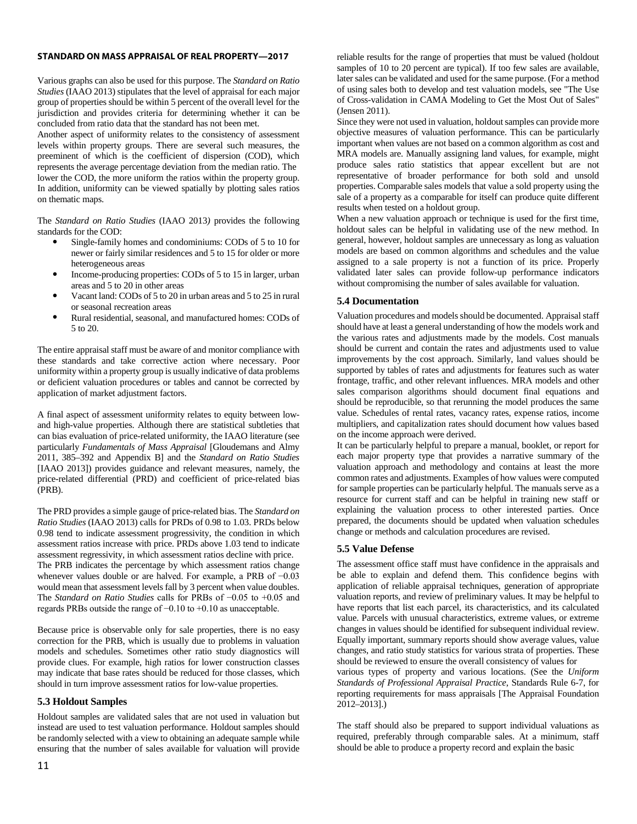Various graphs can also be used for this purpose. The *Standard on Ratio Studies* (IAAO 2013) stipulates that the level of appraisal for each major group of properties should be within 5 percent of the overall level for the jurisdiction and provides criteria for determining whether it can be concluded from ratio data that the standard has not been met.

Another aspect of uniformity relates to the consistency of assessment levels within property groups. There are several such measures, the preeminent of which is the coefficient of dispersion (COD), which represents the average percentage deviation from the median ratio. The lower the COD, the more uniform the ratios within the property group. In addition, uniformity can be viewed spatially by plotting sales ratios on thematic maps.

The *Standard on Ratio Studies* (IAAO 2013*)* provides the following standards for the COD:

- Single-family homes and condominiums: CODs of 5 to 10 for newer or fairly similar residences and 5 to 15 for older or more heterogeneous areas
- Income-producing properties: CODs of 5 to 15 in larger, urban areas and 5 to 20 in other areas
- Vacant land: CODs of 5 to 20 in urban areas and 5 to 25 in rural or seasonal recreation areas
- Rural residential, seasonal, and manufactured homes: CODs of 5 to 20.

The entire appraisal staff must be aware of and monitor compliance with these standards and take corrective action where necessary. Poor uniformity within a property group is usually indicative of data problems or deficient valuation procedures or tables and cannot be corrected by application of market adjustment factors.

A final aspect of assessment uniformity relates to equity between lowand high-value properties. Although there are statistical subtleties that can bias evaluation of price-related uniformity, the IAAO literature (see particularly *Fundamentals of Mass Appraisal* [Gloudemans and Almy 2011, 385–392 and Appendix B] and the *Standard on Ratio Studies* [IAAO 2013]) provides guidance and relevant measures, namely, the price-related differential (PRD) and coefficient of price-related bias (PRB).

The PRD provides a simple gauge of price-related bias. The *Standard on Ratio Studies* (IAAO 2013) calls for PRDs of 0.98 to 1.03. PRDs below 0.98 tend to indicate assessment progressivity, the condition in which assessment ratios increase with price. PRDs above 1.03 tend to indicate assessment regressivity, in which assessment ratios decline with price. The PRB indicates the percentage by which assessment ratios change whenever values double or are halved. For example, a PRB of −0.03 would mean that assessment levels fall by 3 percent when value doubles. The *Standard on Ratio Studies* calls for PRBs of −0.05 to +0.05 and regards PRBs outside the range of −0.10 to +0.10 as unacceptable.

Because price is observable only for sale properties, there is no easy correction for the PRB, which is usually due to problems in valuation models and schedules. Sometimes other ratio study diagnostics will provide clues. For example, high ratios for lower construction classes may indicate that base rates should be reduced for those classes, which should in turn improve assessment ratios for low-value properties.

# **5.3 Holdout Samples**

Holdout samples are validated sales that are not used in valuation but instead are used to test valuation performance. Holdout samples should be randomly selected with a view to obtaining an adequate sample while ensuring that the number of sales available for valuation will provide reliable results for the range of properties that must be valued (holdout samples of 10 to 20 percent are typical). If too few sales are available, later sales can be validated and used for the same purpose. (For a method of using sales both to develop and test valuation models, see "The Use of Cross-validation in CAMA Modeling to Get the Most Out of Sales" (Jensen 2011).

Since they were not used in valuation, holdout samples can provide more objective measures of valuation performance. This can be particularly important when values are not based on a common algorithm as cost and MRA models are. Manually assigning land values, for example, might produce sales ratio statistics that appear excellent but are not representative of broader performance for both sold and unsold properties. Comparable sales models that value a sold property using the sale of a property as a comparable for itself can produce quite different results when tested on a holdout group.

When a new valuation approach or technique is used for the first time, holdout sales can be helpful in validating use of the new method. In general, however, holdout samples are unnecessary as long as valuation models are based on common algorithms and schedules and the value assigned to a sale property is not a function of its price. Properly validated later sales can provide follow-up performance indicators without compromising the number of sales available for valuation.

# **5.4 Documentation**

Valuation procedures and models should be documented. Appraisal staff should have at least a general understanding of how the models work and the various rates and adjustments made by the models. Cost manuals should be current and contain the rates and adjustments used to value improvements by the cost approach. Similarly, land values should be supported by tables of rates and adjustments for features such as water frontage, traffic, and other relevant influences. MRA models and other sales comparison algorithms should document final equations and should be reproducible, so that rerunning the model produces the same value. Schedules of rental rates, vacancy rates, expense ratios, income multipliers, and capitalization rates should document how values based on the income approach were derived.

It can be particularly helpful to prepare a manual, booklet, or report for each major property type that provides a narrative summary of the valuation approach and methodology and contains at least the more common rates and adjustments. Examples of how values were computed for sample properties can be particularly helpful. The manuals serve as a resource for current staff and can be helpful in training new staff or explaining the valuation process to other interested parties. Once prepared, the documents should be updated when valuation schedules change or methods and calculation procedures are revised.

# **5.5 Value Defense**

The assessment office staff must have confidence in the appraisals and be able to explain and defend them. This confidence begins with application of reliable appraisal techniques, generation of appropriate valuation reports, and review of preliminary values. It may be helpful to have reports that list each parcel, its characteristics, and its calculated value. Parcels with unusual characteristics, extreme values, or extreme changes in values should be identified for subsequent individual review. Equally important, summary reports should show average values, value changes, and ratio study statistics for various strata of properties. These should be reviewed to ensure the overall consistency of values for

various types of property and various locations. (See the *Uniform Standards of Professional Appraisal Practice*, Standards Rule 6-7, for reporting requirements for mass appraisals [The Appraisal Foundation 2012–2013].)

The staff should also be prepared to support individual valuations as required, preferably through comparable sales. At a minimum, staff should be able to produce a property record and explain the basic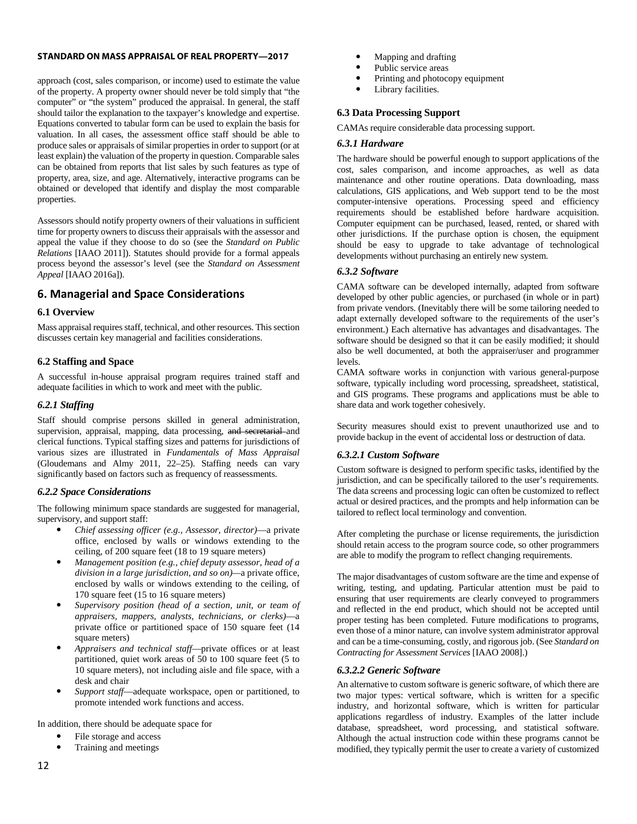approach (cost, sales comparison, or income) used to estimate the value of the property. A property owner should never be told simply that "the computer" or "the system" produced the appraisal. In general, the staff should tailor the explanation to the taxpayer's knowledge and expertise. Equations converted to tabular form can be used to explain the basis for valuation. In all cases, the assessment office staff should be able to produce sales or appraisals of similar properties in order to support (or at least explain) the valuation of the property in question. Comparable sales can be obtained from reports that list sales by such features as type of property, area, size, and age. Alternatively, interactive programs can be obtained or developed that identify and display the most comparable properties.

Assessors should notify property owners of their valuations in sufficient time for property owners to discuss their appraisals with the assessor and appeal the value if they choose to do so (see the *Standard on Public Relations* [IAAO 2011]). Statutes should provide for a formal appeals process beyond the assessor's level (see the *Standard on Assessment Appeal* [IAAO 2016a]).

# **6. Managerial and Space Considerations**

# **6.1 Overview**

Mass appraisal requires staff, technical, and other resources. This section discusses certain key managerial and facilities considerations.

# **6.2 Staffing and Space**

A successful in-house appraisal program requires trained staff and adequate facilities in which to work and meet with the public.

# *6.2.1 Staffing*

Staff should comprise persons skilled in general administration, supervision, appraisal, mapping, data processing, and secretarial and clerical functions. Typical staffing sizes and patterns for jurisdictions of various sizes are illustrated in *Fundamentals of Mass Appraisal* (Gloudemans and Almy 2011, 22–25). Staffing needs can vary significantly based on factors such as frequency of reassessments.

# *6.2.2 Space Considerations*

The following minimum space standards are suggested for managerial, supervisory, and support staff:

- *Chief assessing officer (e.g., Assessor, director)*—a private office, enclosed by walls or windows extending to the ceiling, of 200 square feet (18 to 19 square meters)
- *Management position (e.g., chief deputy assessor, head of a division in a large jurisdiction, and so on)—*a private office, enclosed by walls or windows extending to the ceiling, of 170 square feet (15 to 16 square meters)
- *Supervisory position (head of a section, unit, or team of appraisers, mappers, analysts, technicians, or clerks)*—a private office or partitioned space of 150 square feet (14 square meters)
- *Appraisers and technical staff*—private offices or at least partitioned, quiet work areas of 50 to 100 square feet (5 to 10 square meters), not including aisle and file space, with a desk and chair
- *Support staff*—adequate workspace, open or partitioned, to promote intended work functions and access.

In addition, there should be adequate space for

- File storage and access
- Training and meetings
- Mapping and drafting
- Public service areas
- Printing and photocopy equipment
- Library facilities.

# **6.3 Data Processing Support**

CAMAs require considerable data processing support.

# *6.3.1 Hardware*

The hardware should be powerful enough to support applications of the cost, sales comparison, and income approaches, as well as data maintenance and other routine operations. Data downloading, mass calculations, GIS applications, and Web support tend to be the most computer-intensive operations. Processing speed and efficiency requirements should be established before hardware acquisition. Computer equipment can be purchased, leased, rented, or shared with other jurisdictions. If the purchase option is chosen, the equipment should be easy to upgrade to take advantage of technological developments without purchasing an entirely new system.

# *6.3.2 Software*

CAMA software can be developed internally, adapted from software developed by other public agencies, or purchased (in whole or in part) from private vendors. (Inevitably there will be some tailoring needed to adapt externally developed software to the requirements of the user's environment.) Each alternative has advantages and disadvantages. The software should be designed so that it can be easily modified; it should also be well documented, at both the appraiser/user and programmer levels.

CAMA software works in conjunction with various general-purpose software, typically including word processing, spreadsheet, statistical, and GIS programs. These programs and applications must be able to share data and work together cohesively.

Security measures should exist to prevent unauthorized use and to provide backup in the event of accidental loss or destruction of data.

# *6.3.2.1 Custom Software*

Custom software is designed to perform specific tasks, identified by the jurisdiction, and can be specifically tailored to the user's requirements. The data screens and processing logic can often be customized to reflect actual or desired practices, and the prompts and help information can be tailored to reflect local terminology and convention.

After completing the purchase or license requirements, the jurisdiction should retain access to the program source code, so other programmers are able to modify the program to reflect changing requirements.

The major disadvantages of custom software are the time and expense of writing, testing, and updating. Particular attention must be paid to ensuring that user requirements are clearly conveyed to programmers and reflected in the end product, which should not be accepted until proper testing has been completed. Future modifications to programs, even those of a minor nature, can involve system administrator approval and can be a time-consuming, costly, and rigorous job. (See *Standard on Contracting for Assessment Services* [IAAO 2008].)

# *6.3.2.2 Generic Software*

An alternative to custom software is generic software, of which there are two major types: vertical software, which is written for a specific industry, and horizontal software, which is written for particular applications regardless of industry. Examples of the latter include database, spreadsheet, word processing, and statistical software. Although the actual instruction code within these programs cannot be modified, they typically permit the user to create a variety of customized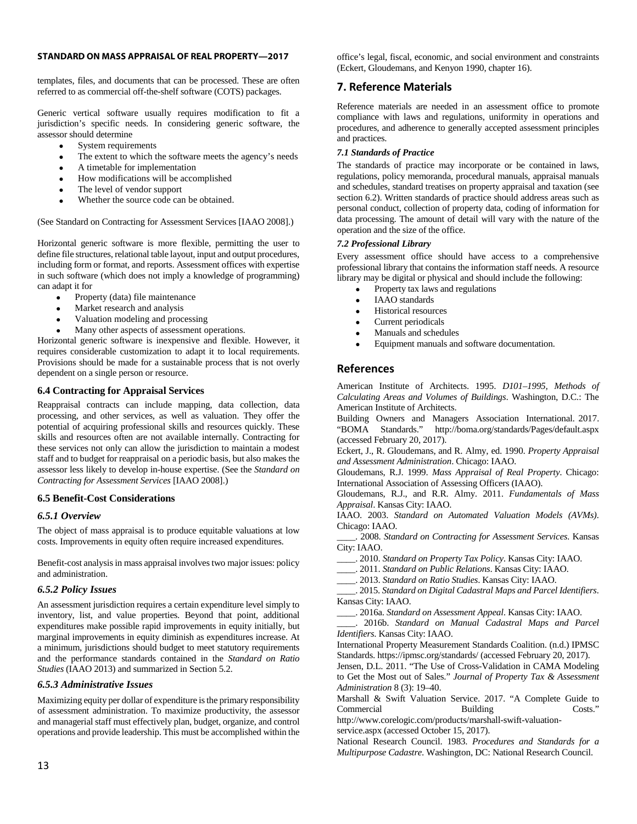templates, files, and documents that can be processed. These are often referred to as commercial off-the-shelf software (COTS) packages.

Generic vertical software usually requires modification to fit a jurisdiction's specific needs. In considering generic software, the assessor should determine

- System requirements
- The extent to which the software meets the agency's needs
- A timetable for implementation
- How modifications will be accomplished
- The level of vendor support
- Whether the source code can be obtained.

(See Standard on Contracting for Assessment Services [IAAO 2008].)

Horizontal generic software is more flexible, permitting the user to define file structures, relational table layout, input and output procedures, including form or format, and reports. Assessment offices with expertise in such software (which does not imply a knowledge of programming) can adapt it for

- Property (data) file maintenance
- Market research and analysis
- Valuation modeling and processing
- Many other aspects of assessment operations.

Horizontal generic software is inexpensive and flexible. However, it requires considerable customization to adapt it to local requirements. Provisions should be made for a sustainable process that is not overly dependent on a single person or resource.

# **6.4 Contracting for Appraisal Services**

Reappraisal contracts can include mapping, data collection, data processing, and other services, as well as valuation. They offer the potential of acquiring professional skills and resources quickly. These skills and resources often are not available internally. Contracting for these services not only can allow the jurisdiction to maintain a modest staff and to budget for reappraisal on a periodic basis, but also makes the assessor less likely to develop in-house expertise. (See the *Standard on Contracting for Assessment Services* [IAAO 2008].)

# **6.5 Benefit-Cost Considerations**

# *6.5.1 Overview*

The object of mass appraisal is to produce equitable valuations at low costs. Improvements in equity often require increased expenditures.

Benefit-cost analysis in mass appraisal involves two major issues: policy and administration.

# *6.5.2 Policy Issues*

An assessment jurisdiction requires a certain expenditure level simply to inventory, list, and value properties. Beyond that point, additional expenditures make possible rapid improvements in equity initially, but marginal improvements in equity diminish as expenditures increase. At a minimum, jurisdictions should budget to meet statutory requirements and the performance standards contained in the *Standard on Ratio Studies* (IAAO 2013) and summarized in Section 5.2.

# *6.5.3 Administrative Issues*

Maximizing equity per dollar of expenditure is the primary responsibility of assessment administration. To maximize productivity, the assessor and managerial staff must effectively plan, budget, organize, and control operations and provide leadership. This must be accomplished within the office's legal, fiscal, economic, and social environment and constraints (Eckert, Gloudemans, and Kenyon 1990, chapter 16).

# **7. Reference Materials**

Reference materials are needed in an assessment office to promote compliance with laws and regulations, uniformity in operations and procedures, and adherence to generally accepted assessment principles and practices.

# *7.1 Standards of Practice*

The standards of practice may incorporate or be contained in laws, regulations, policy memoranda, procedural manuals, appraisal manuals and schedules, standard treatises on property appraisal and taxation (see section 6.2). Written standards of practice should address areas such as personal conduct, collection of property data, coding of information for data processing. The amount of detail will vary with the nature of the operation and the size of the office.

#### *7.2 Professional Library*

Every assessment office should have access to a comprehensive professional library that contains the information staff needs. A resource library may be digital or physical and should include the following:

- Property tax laws and regulations
- IAAO standards
- Historical resources
- Current periodicals
- Manuals and schedules
- Equipment manuals and software documentation.

# **References**

American Institute of Architects. 1995. *D101–1995, Methods of Calculating Areas and Volumes of Buildings*. Washington, D.C.: The American Institute of Architects.

Building Owners and Managers Association International. 2017. "BOMA Standards." http://boma.org/standards/Pages/default.aspx (accessed February 20, 2017).

Eckert, J., R. Gloudemans, and R. Almy, ed. 1990. *Property Appraisal and Assessment Administration*. Chicago: IAAO.

Gloudemans, R.J. 1999. *Mass Appraisal of Real Property*. Chicago: International Association of Assessing Officers (IAAO).

Gloudemans, R.J., and R.R. Almy. 2011. *Fundamentals of Mass Appraisal*. Kansas City: IAAO.

IAAO. 2003. *Standard on Automated Valuation Models (AVMs)*. Chicago: IAAO.

\_\_\_\_. 2008. *Standard on Contracting for Assessment Services*. Kansas City: IAAO.

\_\_\_\_. 2010. *Standard on Property Tax Policy*. Kansas City: IAAO.

\_\_\_\_. 2011. *Standard on Public Relations*. Kansas City: IAAO.

\_\_\_\_. 2013. *Standard on Ratio Studies*. Kansas City: IAAO.

\_\_\_\_. 2015. *Standard on Digital Cadastral Maps and Parcel Identifiers*. Kansas City: IAAO.

\_\_\_\_. 2016a. *Standard on Assessment Appeal*. Kansas City: IAAO.

\_\_\_\_. 2016b. *Standard on Manual Cadastral Maps and Parcel Identifiers*. Kansas City: IAAO.

International Property Measurement Standards Coalition. (n.d.) IPMSC Standards. https://ipmsc.org/standards/ (accessed February 20, 2017).

Jensen, D.L. 2011. "The Use of Cross-Validation in CAMA Modeling to Get the Most out of Sales." *Journal of Property Tax & Assessment Administration* 8 (3): 19–40.

Marshall & Swift Valuation Service. 2017. "A Complete Guide to Commercial Building Costs."

http://www.corelogic.com/products/marshall-swift-valuationservice.aspx (accessed October 15, 2017).

National Research Council. 1983. *Procedures and Standards for a Multipurpose Cadastre*. Washington, DC: National Research Council.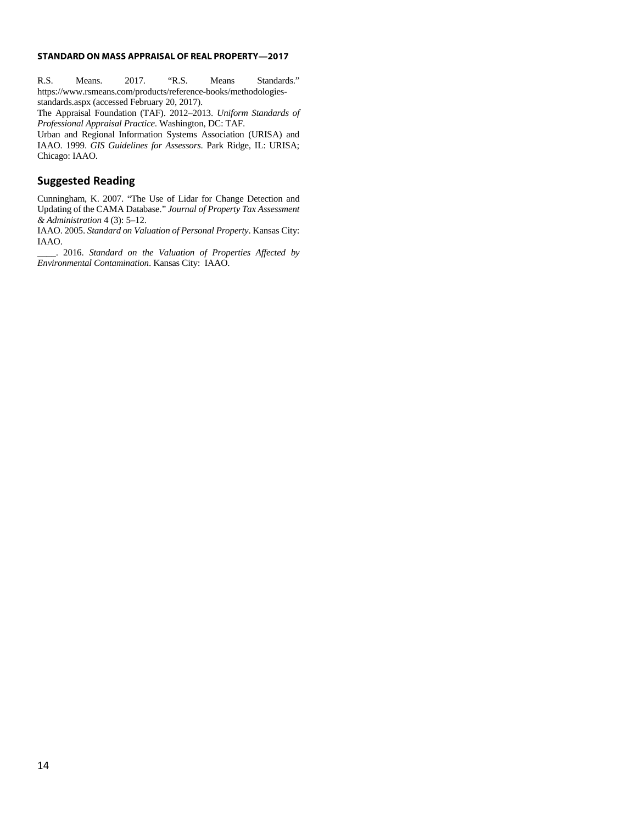R.S. Means. 2017. "R.S. Means Standards." https://www.rsmeans.com/products/reference-books/methodologiesstandards.aspx (accessed February 20, 2017).

The Appraisal Foundation (TAF). 2012–2013. *Uniform Standards of Professional Appraisal Practice*. Washington, DC: TAF.

Urban and Regional Information Systems Association (URISA) and IAAO. 1999. *GIS Guidelines for Assessors*. Park Ridge, IL: URISA; Chicago: IAAO.

# **Suggested Reading**

Cunningham, K. 2007. "The Use of Lidar for Change Detection and Updating of the CAMA Database." *Journal of Property Tax Assessment & Administration* 4 (3): 5–12.

IAAO. 2005. *Standard on Valuation of Personal Property*. Kansas City: IAAO.

\_\_\_\_. 2016. *Standard on the Valuation of Properties Affected by Environmental Contamination*. Kansas City: IAAO.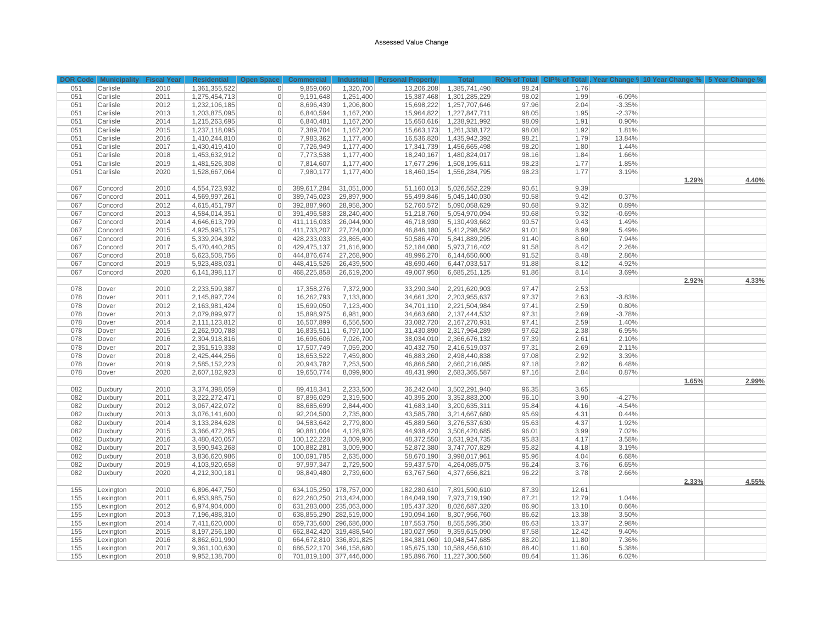#### Assessed Value Change

|     | DOR Code   Municipality   Fiscal Year |      | Residential   Open Space   Commercial |                |             |                         | Industrial Personal Property |                            |       |       |          | Total RO% of Total CIP% of Total Year Change 9 10 Year Change % 5 Year Change % |       |
|-----|---------------------------------------|------|---------------------------------------|----------------|-------------|-------------------------|------------------------------|----------------------------|-------|-------|----------|---------------------------------------------------------------------------------|-------|
| 051 | Carlisle                              | 2010 | 1,361,355,522                         | $\overline{0}$ | 9,859,060   | 1,320,700               | 13,206,208                   | 1,385,741,490              | 98.24 | 1.76  |          |                                                                                 |       |
| 051 | Carlisle                              | 2011 | 1,275,454,713                         | $\mathbf{0}$   | 9,191,648   | 1,251,400               | 15,387,468                   | 1,301,285,229              | 98.02 | 1.99  | $-6.09%$ |                                                                                 |       |
| 051 | Carlisle                              | 2012 | 1,232,106,185                         | $\mathbf 0$    | 8,696,439   | 1,206,800               | 15,698,222                   | 1,257,707,646              | 97.96 | 2.04  | $-3.35%$ |                                                                                 |       |
| 051 | Carlisle                              | 2013 | 1,203,875,095                         | $\mathbf 0$    | 6,840,594   | 1,167,200               | 15,964,822                   | 1,227,847,711              | 98.05 | 1.95  | $-2.37%$ |                                                                                 |       |
| 051 | Carlisle                              | 2014 | 1,215,263,695                         | $\mathbf 0$    | 6,840,481   | 1,167,200               | 15,650,616                   | 1,238,921,992              | 98.09 | 1.91  | 0.90%    |                                                                                 |       |
| 051 | Carlisle                              | 2015 | 1,237,118,095                         | $\mathbf{0}$   | 7,389,704   | 1,167,200               | 15,663,173                   | 1,261,338,172              | 98.08 | 1.92  | 1.81%    |                                                                                 |       |
| 051 | Carlisle                              | 2016 | 1,410,244,810                         | $\mathbf 0$    | 7,983,362   | 1,177,400               | 16,536,820                   | 1,435,942,392              | 98.21 | 1.79  | 13.84%   |                                                                                 |       |
| 051 | Carlisle                              | 2017 | 1,430,419,410                         | $\mathbf 0$    | 7,726,949   | 1,177,400               | 17,341,739                   | 1,456,665,498              | 98.20 | 1.80  | 1.44%    |                                                                                 |       |
| 051 | Carlisle                              | 2018 | 1,453,632,912                         | $\mathbf{0}$   | 7,773,538   | 1,177,400               | 18,240,167                   | 1,480,824,017              | 98.16 | 1.84  | 1.66%    |                                                                                 |       |
| 051 | Carlisle                              | 2019 | 1,481,526,308                         | $\mathbf 0$    | 7,814,607   | 1,177,400               | 17,677,296                   | 1,508,195,611              | 98.23 | 1.77  | 1.85%    |                                                                                 |       |
| 051 | Carlisle                              | 2020 | 1,528,667,064                         | $\mathbf 0$    | 7,980,177   | 1,177,400               | 18,460,154                   | 1,556,284,795              | 98.23 | 1.77  | 3.19%    |                                                                                 |       |
|     |                                       |      |                                       |                |             |                         |                              |                            |       |       |          | 1.29%                                                                           | 4.40% |
| 067 | Concord                               | 2010 | 4,554,723,932                         | $\overline{0}$ | 389,617,284 | 31,051,000              | 51,160,013                   | 5,026,552,229              | 90.61 | 9.39  |          |                                                                                 |       |
| 067 | Concord                               | 2011 | 4,569,997,261                         | $\mathbf{0}$   | 389,745,023 | 29,897,900              | 55,499,846                   | 5,045,140,030              | 90.58 | 9.42  | 0.37%    |                                                                                 |       |
| 067 | Concord                               | 2012 | 4,615,451,797                         | $\mathbf{0}$   | 392,887,960 | 28,958,300              | 52,760,572                   | 5,090,058,629              | 90.68 | 9.32  | 0.89%    |                                                                                 |       |
| 067 | Concord                               | 2013 | 4,584,014,351                         | $\mathbf{0}$   | 391,496,583 | 28,240,400              | 51,218,760                   | 5,054,970,094              | 90.68 | 9.32  | $-0.69%$ |                                                                                 |       |
| 067 | Concord                               | 2014 | 4,646,613,799                         | $\mathbf{0}$   | 411,116,033 | 26,044,900              | 46,718,930                   | 5,130,493,662              | 90.57 | 9.43  | 1.49%    |                                                                                 |       |
| 067 | Concord                               | 2015 | 4,925,995,175                         | $\mathbf 0$    | 411,733,207 | 27,724,000              | 46,846,180                   | 5,412,298,562              | 91.01 | 8.99  | 5.49%    |                                                                                 |       |
| 067 | Concord                               | 2016 | 5,339,204,392                         | $\mathbf 0$    | 428,233,033 | 23,865,400              | 50,586,470                   | 5,841,889,295              | 91.40 | 8.60  | 7.94%    |                                                                                 |       |
| 067 | Concord                               | 2017 | 5,470,440,285                         | $\overline{0}$ | 429,475,137 | 21,616,900              | 52,184,080                   | 5,973,716,402              | 91.58 | 8.42  | 2.26%    |                                                                                 |       |
| 067 | Concord                               | 2018 | 5,623,508,756                         | $\mathbf 0$    | 444,876,674 | 27,268,900              | 48,996,270                   | 6,144,650,600              | 91.52 | 8.48  | 2.86%    |                                                                                 |       |
| 067 | Concord                               | 2019 | 5,923,488,031                         | $\mathbf 0$    | 448,415,526 | 26,439,500              | 48,690,460                   | 6,447,033,517              | 91.88 | 8.12  | 4.92%    |                                                                                 |       |
| 067 | Concord                               | 2020 | 6,141,398,117                         | $\mathbf{0}$   | 468,225,858 | 26,619,200              | 49,007,950                   | 6,685,251,125              | 91.86 | 8.14  | 3.69%    |                                                                                 |       |
|     |                                       |      |                                       |                |             |                         |                              |                            |       |       |          | 2.92%                                                                           | 4.33% |
| 078 | Dover                                 | 2010 | 2,233,599,387                         | $\mathbf 0$    | 17,358,276  | 7,372,900               | 33,290,340                   | 2,291,620,903              | 97.47 | 2.53  |          |                                                                                 |       |
| 078 | Dover                                 | 2011 | 2,145,897,724                         | $\mathbf{0}$   | 16,262,793  | 7,133,800               | 34,661,320                   | 2,203,955,637              | 97.37 | 2.63  | $-3.83%$ |                                                                                 |       |
| 078 | Dover                                 | 2012 | 2,163,981,424                         | $\mathbf{0}$   | 15,699,050  | 7,123,400               | 34,701,110                   | 2,221,504,984              | 97.41 | 2.59  | 0.80%    |                                                                                 |       |
| 078 | Dover                                 | 2013 | 2,079,899,977                         | $\mathbf{0}$   | 15,898,975  | 6,981,900               | 34,663,680                   | 2,137,444,532              | 97.31 | 2.69  | $-3.78%$ |                                                                                 |       |
| 078 | Dover                                 | 2014 | 2,111,123,812                         | $\mathbf{0}$   | 16,507,899  | 6,556,500               | 33,082,720                   | 2,167,270,931              | 97.41 | 2.59  | 1.40%    |                                                                                 |       |
| 078 | Dover                                 | 2015 | 2,262,900,788                         | $\mathbf{0}$   | 16,835,511  | 6,797,100               | 31,430,890                   | 2,317,964,289              | 97.62 | 2.38  | 6.95%    |                                                                                 |       |
| 078 | Dover                                 | 2016 | 2,304,918,816                         | $\mathbf{0}$   | 16,696,606  | 7,026,700               | 38,034,010                   | 2,366,676,132              | 97.39 | 2.61  | 2.10%    |                                                                                 |       |
| 078 | Dover                                 | 2017 | 2,351,519,338                         | $\mathbf{0}$   | 17,507,749  | 7,059,200               | 40,432,750                   | 2,416,519,037              | 97.31 | 2.69  | 2.11%    |                                                                                 |       |
| 078 | Dover                                 | 2018 | 2,425,444,256                         | $\mathbf 0$    | 18,653,522  | 7,459,800               | 46,883,260                   | 2,498,440,838              | 97.08 | 2.92  | 3.39%    |                                                                                 |       |
| 078 | Dover                                 | 2019 | 2,585,152,223                         | $\mathbf{0}$   | 20,943,782  | 7,253,500               | 46,866,580                   | 2,660,216,085              | 97.18 | 2.82  | 6.48%    |                                                                                 |       |
| 078 | Dover                                 | 2020 | 2,607,182,923                         | $\mathbf 0$    | 19,650,774  | 8,099,900               | 48,431,990                   | 2,683,365,587              | 97.16 | 2.84  | 0.87%    |                                                                                 |       |
|     |                                       |      |                                       |                |             |                         |                              |                            |       |       |          | 1.65%                                                                           | 2.99% |
| 082 | Duxbury                               | 2010 | 3,374,398,059                         | $\mathbf 0$    | 89,418,341  | 2,233,500               | 36,242,040                   | 3,502,291,940              | 96.35 | 3.65  |          |                                                                                 |       |
| 082 | Duxbury                               | 2011 | 3,222,272,471                         | $\mathbf 0$    | 87,896,029  | 2,319,500               | 40,395,200                   | 3,352,883,200              | 96.10 | 3.90  | $-4.27%$ |                                                                                 |       |
| 082 | Duxbury                               | 2012 | 3,067,422,072                         | $\mathbf{0}$   | 88,685,699  | 2,844,400               | 41,683,140                   | 3,200,635,311              | 95.84 | 4.16  | $-4.54%$ |                                                                                 |       |
| 082 | Duxbury                               | 2013 | 3,076,141,600                         | $\mathbf{0}$   | 92,204,500  | 2,735,800               | 43,585,780                   | 3,214,667,680              | 95.69 | 4.31  | 0.44%    |                                                                                 |       |
| 082 | Duxbury                               | 2014 | 3,133,284,628                         | $\mathbf{0}$   | 94,583,642  | 2,779,800               | 45,889,560                   | 3,276,537,630              | 95.63 | 4.37  | 1.92%    |                                                                                 |       |
| 082 | Duxbury                               | 2015 | 3,366,472,285                         | $\mathbf 0$    | 90,881,004  | 4,128,976               | 44,938,420                   | 3,506,420,685              | 96.01 | 3.99  | 7.02%    |                                                                                 |       |
| 082 | Duxbury                               | 2016 | 3,480,420,057                         | $\mathbf 0$    | 100,122,228 | 3,009,900               | 48,372,550                   | 3,631,924,735              | 95.83 | 4.17  | 3.58%    |                                                                                 |       |
| 082 | Duxbury                               | 2017 | 3,590,943,268                         | $\mathbf{0}$   | 100,882,281 | 3,009,900               | 52,872,380                   | 3,747,707,829              | 95.82 | 4.18  | 3.19%    |                                                                                 |       |
| 082 | Duxbury                               | 2018 | 3,836,620,986                         | $\mathbf{0}$   | 100,091,785 | 2,635,000               | 58,670,190                   | 3,998,017,961              | 95.96 | 4.04  | 6.68%    |                                                                                 |       |
| 082 | Duxbury                               | 2019 | 4,103,920,658                         | $\mathbf 0$    | 97,997,347  | 2,729,500               | 59,437,570                   | 4,264,085,075              | 96.24 | 3.76  | 6.65%    |                                                                                 |       |
| 082 | Duxbury                               | 2020 | 4,212,300,181                         | $\mathbf{0}$   | 98,849,480  | 2,739,600               | 63,767,560                   | 4,377,656,821              | 96.22 | 3.78  | 2.66%    |                                                                                 |       |
|     |                                       |      |                                       |                |             |                         |                              |                            |       |       |          | 2.33%                                                                           | 4.55% |
| 155 | Lexington                             | 2010 | 6,896,447,750                         | $\overline{0}$ |             | 634,105,250 178,757,000 | 182,280,610                  | 7,891,590,610              | 87.39 | 12.61 |          |                                                                                 |       |
| 155 | Lexington                             | 2011 | 6,953,985,750                         | $\mathbf 0$    |             | 622,260,250 213,424,000 | 184,049,190                  | 7,973,719,190              | 87.21 | 12.79 | 1.04%    |                                                                                 |       |
| 155 | Lexington                             | 2012 | 6,974,904,000                         | $\mathbf 0$    |             | 631,283,000 235,063,000 | 185,437,320                  | 8,026,687,320              | 86.90 | 13.10 | 0.66%    |                                                                                 |       |
| 155 | Lexington                             | 2013 | 7,196,488,310                         | $\overline{0}$ |             | 638,855,290 282,519,000 | 190,094,160                  | 8,307,956,760              | 86.62 | 13.38 | 3.50%    |                                                                                 |       |
| 155 | Lexington                             | 2014 | 7,411,620,000                         | $\mathbf{0}$   |             | 659,735,600 296,686,000 | 187,553,750                  | 8,555,595,350              | 86.63 | 13.37 | 2.98%    |                                                                                 |       |
| 155 | Lexington                             | 2015 | 8,197,256,180                         | $\mathbf{0}$   |             | 662,842,420 319,488,540 | 180,027,950                  | 9,359,615,090              | 87.58 | 12.42 | 9.40%    |                                                                                 |       |
| 155 | Lexington                             | 2016 | 8,862,601,990                         | $\mathbf{0}$   |             | 664,672,810 336,891,825 |                              | 184,381,060 10,048,547,685 | 88.20 | 11.80 | 7.36%    |                                                                                 |       |
| 155 | Lexington                             | 2017 | 9,361,100,630                         | $\mathbf{0}$   |             | 686,522,170 346,158,680 |                              | 195,675,130 10,589,456,610 | 88.40 | 11.60 | 5.38%    |                                                                                 |       |
| 155 | Lexington                             | 2018 | 9,952,138,700                         | $\overline{0}$ |             | 701,819,100 377,446,000 |                              | 195,896,760 11,227,300,560 | 88.64 | 11.36 | 6.02%    |                                                                                 |       |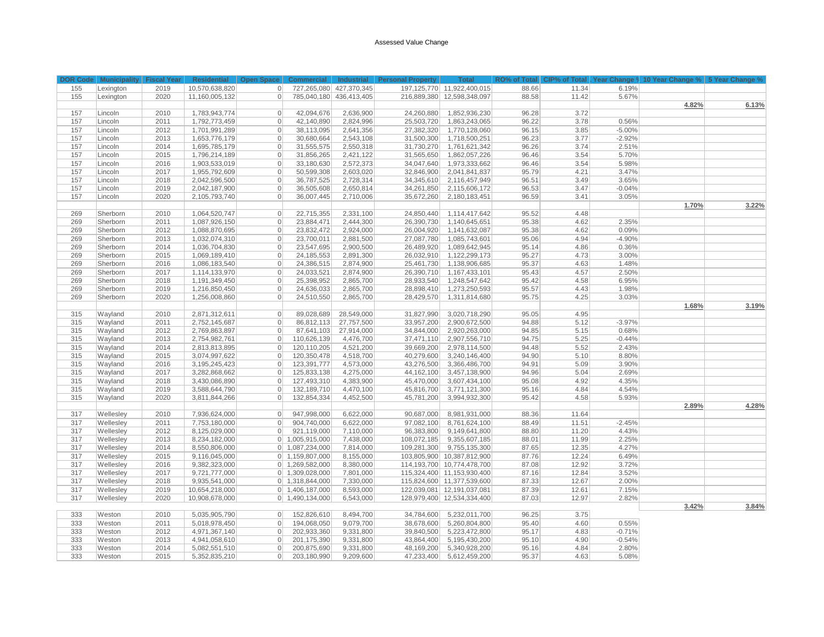#### Assessed Value Change

|     |           |      |                | DOR Code Municipality Fiscal Year Residential Open Space Commercial Industrial Personal Property Total RO% of Total CIP% of Total Year Change 9, 10 Year Change % 5 Year Change % |                         |                         |             |                                 |       |       |          |       |       |
|-----|-----------|------|----------------|-----------------------------------------------------------------------------------------------------------------------------------------------------------------------------------|-------------------------|-------------------------|-------------|---------------------------------|-------|-------|----------|-------|-------|
| 155 | Lexington | 2019 | 10,570,638,820 | 0                                                                                                                                                                                 |                         | 727,265,080 427,370,345 |             | 197,125,770 11,922,400,015      | 88.66 | 11.34 | 6.19%    |       |       |
| 155 | Lexington | 2020 | 11,160,005,132 | $\overline{0}$                                                                                                                                                                    | 785,040,180 436,413,405 |                         |             | 216,889,380 12,598,348,097      | 88.58 | 11.42 | 5.67%    |       |       |
|     |           |      |                |                                                                                                                                                                                   |                         |                         |             |                                 |       |       |          | 4.82% | 6.13% |
| 157 | Lincoln   | 2010 | 1,783,943,774  | 42,094,676<br>$\overline{0}$                                                                                                                                                      |                         | 2,636,900               | 24,260,880  | 1,852,936,230                   | 96.28 | 3.72  |          |       |       |
| 157 | Lincoln   | 2011 | 1,792,773,459  | 42,140,890<br>$\overline{0}$                                                                                                                                                      |                         | 2,824,996               | 25,503,720  | 1,863,243,065                   | 96.22 | 3.78  | 0.56%    |       |       |
| 157 | Lincoln   | 2012 | 1,701,991,289  | 38,113,095<br>$\overline{0}$                                                                                                                                                      |                         | 2,641,356               | 27,382,320  | 1,770,128,060                   | 96.15 | 3.85  | $-5.00%$ |       |       |
| 157 | Lincoln   | 2013 | 1,653,776,179  | 30,680,664<br>$\overline{0}$                                                                                                                                                      |                         | 2,543,108               | 31,500,300  | 1,718,500,251                   | 96.23 | 3.77  | $-2.92%$ |       |       |
| 157 | Lincoln   | 2014 | 1,695,785,179  | $\overline{0}$<br>31,555,575                                                                                                                                                      |                         | 2,550,318               | 31,730,270  | 1,761,621,342                   | 96.26 | 3.74  | 2.51%    |       |       |
| 157 | Lincoln   | 2015 | 1,796,214,189  | 31,856,265<br>$\overline{0}$                                                                                                                                                      |                         | 2,421,122               | 31,565,650  | 1,862,057,226                   | 96.46 | 3.54  | 5.70%    |       |       |
| 157 | Lincoln   | 2016 | 1,903,533,019  | 33,180,630<br>$\overline{0}$                                                                                                                                                      |                         | 2,572,373               | 34,047,640  | 1,973,333,662                   | 96.46 | 3.54  | 5.98%    |       |       |
| 157 | Lincoln   | 2017 | 1,955,792,609  | 50,599,308<br>$\circ$                                                                                                                                                             |                         | 2,603,020               | 32,846,900  | 2,041,841,837                   | 95.79 | 4.21  | 3.47%    |       |       |
| 157 | Lincoln   | 2018 | 2,042,596,500  | $\overline{0}$<br>36,787,525                                                                                                                                                      |                         | 2,728,314               | 34,345,610  | 2,116,457,949                   | 96.51 | 3.49  | 3.65%    |       |       |
| 157 | Lincoln   | 2019 | 2,042,187,900  | 36,505,608<br>$\overline{0}$                                                                                                                                                      |                         | 2,650,814               | 34,261,850  | 2,115,606,172                   | 96.53 | 3.47  | $-0.04%$ |       |       |
| 157 | Lincoln   | 2020 | 2,105,793,740  | 36,007,445<br>$\overline{0}$                                                                                                                                                      |                         | 2,710,006               | 35,672,260  | 2,180,183,451                   | 96.59 | 3.41  | 3.05%    |       |       |
|     |           |      |                |                                                                                                                                                                                   |                         |                         |             |                                 |       |       |          | 1.70% | 3.22% |
| 269 | Sherborn  | 2010 | 1,064,520,747  | 22,715,355<br>$\circ$                                                                                                                                                             |                         | 2,331,100               | 24,850,440  | 1,114,417,642                   | 95.52 | 4.48  |          |       |       |
| 269 | Sherborn  | 2011 | 1,087,926,150  | $\overline{0}$<br>23,884,471                                                                                                                                                      |                         | 2,444,300               | 26,390,730  | 1,140,645,651                   | 95.38 | 4.62  | 2.35%    |       |       |
| 269 | Sherborn  | 2012 | 1,088,870,695  | 23,832,472<br>$\circ$                                                                                                                                                             |                         | 2,924,000               | 26,004,920  | 1,141,632,087                   | 95.38 | 4.62  | 0.09%    |       |       |
| 269 | Sherborn  | 2013 | 1,032,074,310  | 23,700,011<br>$\overline{0}$                                                                                                                                                      |                         | 2,881,500               | 27,087,780  | 1,085,743,601                   | 95.06 | 4.94  | $-4.90%$ |       |       |
| 269 | Sherborn  | 2014 | 1,036,704,830  | 23,547,695<br>$\overline{0}$                                                                                                                                                      |                         | 2,900,500               | 26,489,920  | 1,089,642,945                   | 95.14 | 4.86  | 0.36%    |       |       |
| 269 | Sherborn  | 2015 | 1,069,189,410  | 24, 185, 553<br>$\overline{0}$                                                                                                                                                    |                         | 2,891,300               | 26,032,910  | 1,122,299,173                   | 95.27 | 4.73  | 3.00%    |       |       |
| 269 | Sherborn  | 2016 | 1,086,183,540  | $\vert$<br>24,386,515                                                                                                                                                             |                         | 2,874,900               | 25,461,730  | 1,138,906,685                   | 95.37 | 4.63  | 1.48%    |       |       |
| 269 | Sherborn  | 2017 | 1,114,133,970  | 24,033,521<br>$\overline{0}$                                                                                                                                                      |                         | 2,874,900               | 26,390,710  | 1,167,433,101                   | 95.43 | 4.57  | 2.50%    |       |       |
| 269 | Sherborn  | 2018 | 1,191,349,450  | 25,398,952<br>$\overline{0}$                                                                                                                                                      |                         | 2,865,700               | 28,933,540  | 1,248,547,642                   | 95.42 | 4.58  | 6.95%    |       |       |
| 269 | Sherborn  | 2019 | 1,216,850,450  | 24,636,033<br>$\overline{0}$                                                                                                                                                      |                         | 2,865,700               | 28,898,410  | 1,273,250,593                   | 95.57 | 4.43  | 1.98%    |       |       |
| 269 | Sherborn  | 2020 | 1,256,008,860  | 24,510,550<br>$\overline{0}$                                                                                                                                                      |                         | 2,865,700               | 28,429,570  | 1,311,814,680                   | 95.75 | 4.25  | 3.03%    |       |       |
|     |           |      |                |                                                                                                                                                                                   |                         |                         |             |                                 |       |       |          | 1.68% | 3.19% |
| 315 | Wayland   | 2010 | 2,871,312,611  | 89,028,689<br>$\overline{0}$                                                                                                                                                      |                         | 28,549,000              | 31,827,990  | 3,020,718,290                   | 95.05 | 4.95  |          |       |       |
| 315 | Wayland   | 2011 | 2,752,145,687  | 86,812,113<br>$\overline{0}$                                                                                                                                                      |                         | 27,757,500              | 33,957,200  | 2,900,672,500                   | 94.88 | 5.12  | $-3.97%$ |       |       |
| 315 | Wayland   | 2012 | 2,769,863,897  | 87,641,103<br>$\overline{0}$                                                                                                                                                      |                         | 27,914,000              | 34,844,000  | 2,920,263,000                   | 94.85 | 5.15  | 0.68%    |       |       |
| 315 | Wayland   | 2013 | 2,754,982,761  | 110,626,139<br>$\overline{0}$                                                                                                                                                     |                         | 4,476,700               | 37,471,110  | 2,907,556,710                   | 94.75 | 5.25  | $-0.44%$ |       |       |
| 315 | Wayland   | 2014 | 2,813,813,895  | 120,110,205<br>$\circ$                                                                                                                                                            |                         | 4,521,200               | 39,669,200  | 2,978,114,500                   | 94.48 | 5.52  | 2.43%    |       |       |
| 315 | Wayland   | 2015 | 3,074,997,622  | 120,350,478<br>$\overline{0}$                                                                                                                                                     |                         | 4,518,700               | 40,279,600  | 3,240,146,400                   | 94.90 | 5.10  | 8.80%    |       |       |
| 315 | Wayland   | 2016 | 3,195,245,423  | 123,391,777<br>$\overline{0}$                                                                                                                                                     |                         | 4,573,000               | 43,276,500  | 3,366,486,700                   | 94.91 | 5.09  | 3.90%    |       |       |
| 315 | Wayland   | 2017 | 3,282,868,662  | 125,833,138<br>$\overline{0}$                                                                                                                                                     |                         | 4,275,000               | 44,162,100  | 3,457,138,900                   | 94.96 | 5.04  | 2.69%    |       |       |
| 315 | Wayland   | 2018 | 3,430,086,890  | 127,493,310<br>$\overline{0}$                                                                                                                                                     |                         | 4,383,900               | 45,470,000  | 3,607,434,100                   | 95.08 | 4.92  | 4.35%    |       |       |
| 315 | Wayland   | 2019 | 3,588,644,790  | 132,189,710<br>$\overline{0}$                                                                                                                                                     |                         | 4,470,100               | 45,816,700  | 3,771,121,300                   | 95.16 | 4.84  | 4.54%    |       |       |
| 315 | Wayland   | 2020 | 3,811,844,266  | $\overline{0}$<br>132,854,334                                                                                                                                                     |                         | 4,452,500               | 45,781,200  | 3,994,932,300                   | 95.42 | 4.58  | 5.93%    |       |       |
|     |           |      |                |                                                                                                                                                                                   |                         |                         |             |                                 |       |       |          | 2.89% | 4.28% |
| 317 | Wellesley | 2010 | 7,936,624,000  | $\overline{0}$<br>947,998,000                                                                                                                                                     |                         | 6,622,000               | 90,687,000  | 8,981,931,000                   | 88.36 | 11.64 |          |       |       |
| 317 | Wellesley | 2011 | 7,753,180,000  | $\overline{0}$<br>904,740,000                                                                                                                                                     |                         | 6,622,000               | 97,082,100  | 8,761,624,100                   | 88.49 | 11.51 | $-2.45%$ |       |       |
| 317 | Wellesley | 2012 | 8,125,029,000  | 921,119,000<br>$\overline{0}$                                                                                                                                                     |                         | 7,110,000               | 96,383,800  | 9,149,641,800                   | 88.80 | 11.20 | 4.43%    |       |       |
| 317 | Wellesley | 2013 | 8,234,182,000  | $0$ 1,005,915,000                                                                                                                                                                 |                         | 7,438,000               | 108,072,185 | 9,355,607,185                   | 88.01 | 11.99 | 2.25%    |       |       |
| 317 | Wellesley | 2014 | 8,550,806,000  | $0$ 1,087,234,000                                                                                                                                                                 |                         | 7,814,000               | 109,281,300 | 9,755,135,300                   | 87.65 | 12.35 | 4.27%    |       |       |
| 317 | Wellesley | 2015 | 9,116,045,000  | $0$ 1,159,807,000                                                                                                                                                                 |                         | 8,155,000               |             | 103,805,900 10,387,812,900      | 87.76 | 12.24 | 6.49%    |       |       |
| 317 | Wellesley | 2016 | 9,382,323,000  | $0$   1,269,582,000                                                                                                                                                               |                         | 8,380,000               |             | 114, 193, 700 10, 774, 478, 700 | 87.08 | 12.92 | 3.72%    |       |       |
| 317 | Wellesley | 2017 | 9,721,777,000  | $0$ 1,309,028,000                                                                                                                                                                 |                         | 7,801,000               |             | 115,324,400 11,153,930,400      | 87.16 | 12.84 | 3.52%    |       |       |
| 317 | Wellesley | 2018 | 9,935,541,000  | $0$ 1,318,844,000                                                                                                                                                                 |                         | 7,330,000               |             | 115,824,600 11,377,539,600      | 87.33 | 12.67 | 2.00%    |       |       |
| 317 | Wellesley | 2019 | 10,654,218,000 | $0$ 1,406,187,000                                                                                                                                                                 |                         | 8,593,000               |             | 122,039,081 12,191,037,081      | 87.39 | 12.61 | 7.15%    |       |       |
| 317 | Wellesley | 2020 | 10,908,678,000 | $0$ 1,490,134,000                                                                                                                                                                 |                         | 6,543,000               |             | 128,979,400 12,534,334,400      | 87.03 | 12.97 | 2.82%    |       |       |
|     |           |      |                |                                                                                                                                                                                   |                         |                         |             |                                 |       |       |          | 3.42% | 3.84% |
| 333 | Weston    | 2010 | 5,035,905,790  | 152,826,610<br>$\overline{0}$                                                                                                                                                     |                         | 8,494,700               | 34,784,600  | 5,232,011,700                   | 96.25 | 3.75  |          |       |       |
| 333 | Weston    | 2011 | 5,018,978,450  | 194,068,050<br>$\overline{0}$                                                                                                                                                     |                         | 9,079,700               | 38,678,600  | 5,260,804,800                   | 95.40 | 4.60  | 0.55%    |       |       |
| 333 | Weston    | 2012 | 4,971,367,140  | 202,933,360<br>$\overline{0}$                                                                                                                                                     |                         | 9,331,800               | 39,840,500  | 5,223,472,800                   | 95.17 | 4.83  | $-0.71%$ |       |       |
| 333 | Weston    | 2013 | 4,941,058,610  | 201,175,390<br>$\overline{0}$                                                                                                                                                     |                         | 9,331,800               | 43,864,400  | 5,195,430,200                   | 95.10 | 4.90  | $-0.54%$ |       |       |
| 333 | Weston    | 2014 | 5,082,551,510  | 200,875,690<br>$\overline{0}$                                                                                                                                                     |                         | 9,331,800               | 48,169,200  | 5,340,928,200                   | 95.16 | 4.84  | 2.80%    |       |       |
| 333 | Weston    | 2015 | 5,352,835,210  | 203,180,990<br>$\overline{0}$                                                                                                                                                     |                         | 9,209,600               | 47,233,400  | 5,612,459,200                   | 95.37 | 4.63  | 5.08%    |       |       |
|     |           |      |                |                                                                                                                                                                                   |                         |                         |             |                                 |       |       |          |       |       |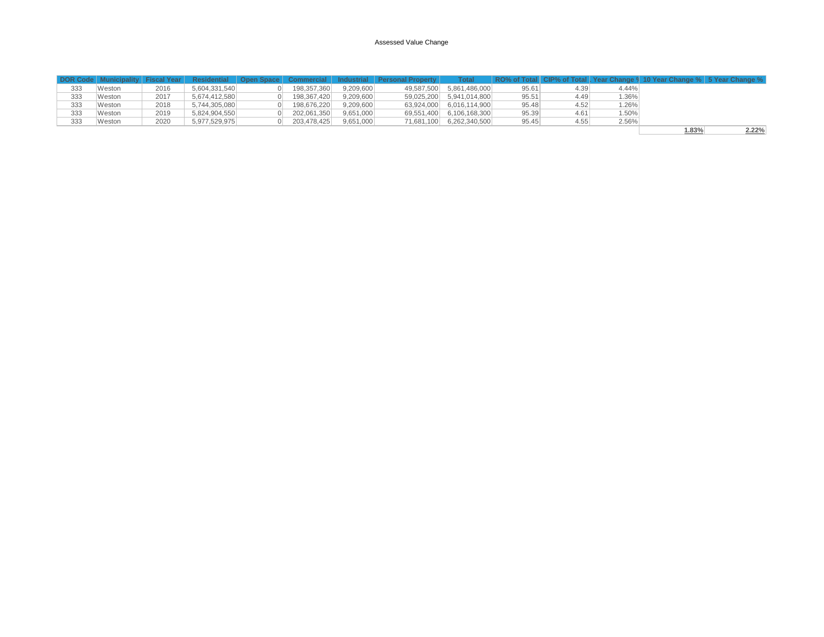|     | DOR Code   Municipality   Fiscal Year |      |               |             |           | Residential Open Space Commercial Industrial Personal Property | Total                    |       |      |       | RO% of Total CIP% of Total   Year Change 9 10 Year Change %   5 Year Change % |
|-----|---------------------------------------|------|---------------|-------------|-----------|----------------------------------------------------------------|--------------------------|-------|------|-------|-------------------------------------------------------------------------------|
| 333 | Weston                                | 2016 | 5.604.331.540 | 198.357.360 | 9.209.600 |                                                                | 49,587,500 5,861,486,000 | 95.61 | 4.39 | 4.44% |                                                                               |
| 333 | Weston                                | 2017 | 5,674,412,580 | 198.367.420 | 9.209.600 |                                                                | 59,025,200 5,941,014,800 | 95.51 | 4.49 | 1.36% |                                                                               |
| 333 | Weston                                | 2018 | 5.744.305.080 | 198.676.220 | 9.209.600 |                                                                | 63,924,000 6,016,114,900 | 95.48 | 4.52 | 1.26% |                                                                               |
| 333 | Weston                                | 2019 | 5.824.904.550 | 202.061.350 | 9.651.000 |                                                                | 69,551,400 6,106,168,300 | 95.39 | 4.61 | 1.50% |                                                                               |
| 333 | Weston                                | 2020 | 5.977.529.975 | 203.478.425 | 9,651,000 |                                                                | 71,681,100 6,262,340,500 | 95.45 | 4.55 | 2.56% |                                                                               |
|     |                                       |      |               |             |           |                                                                |                          |       |      |       | 2.22%<br>1.83%                                                                |